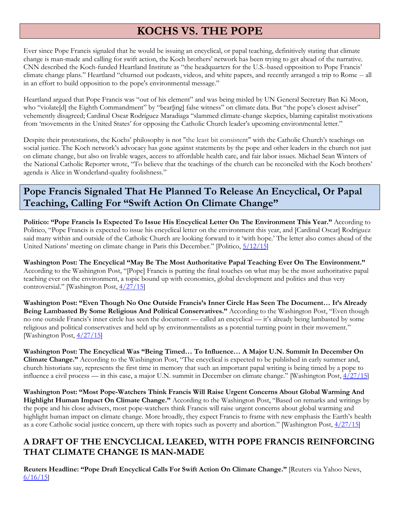# **KOCHS VS. THE POPE**

Ever since Pope Francis signaled that he would be issuing an encyclical, or papal teaching, definitively stating that climate change is man-made and calling for swift action, the Koch brothers' network has been trying to get ahead of the narrative. CNN described the Koch-funded Heartland Institute as "the headquarters for the U.S.-based opposition to Pope Francis' climate change plans." Heartland "churned out podcasts, videos, and white papers, and recently arranged a trip to Rome -- all in an effort to build opposition to the pope's environmental message."

Heartland argued that Pope Francis was "out of his element" and was being misled by UN General Secretary Ban Ki Moon, who "violate[d] the Eighth Commandment" by "bear[ing] false witness" on climate data. But "the pope's closest adviser" vehemently disagreed; Cardinal Oscar Rodríguez Maradiaga "slammed climate-change skeptics, blaming capitalist motivations from 'movements in the United States' for opposing the Catholic Church leader's upcoming environmental letter."

Despite their protestations, the Kochs' philosophy is not "the least bit consistent" with the Catholic Church's teachings on social justice. The Koch network's advocacy has gone against statements by the pope and other leaders in the church not just on climate change, but also on livable wages, access to affordable health care, and fair labor issues. Michael Sean Winters of the National Catholic Reporter wrote, "To believe that the teachings of the church can be reconciled with the Koch brothers' agenda is Alice in Wonderland-quality foolishness."

# **Pope Francis Signaled That He Planned To Release An Encyclical, Or Papal Teaching, Calling For "Swift Action On Climate Change"**

**Politico: "Pope Francis Is Expected To Issue His Encyclical Letter On The Environment This Year."** According to Politico, "Pope Francis is expected to issue his encyclical letter on the environment this year, and [Cardinal Oscar] Rodríguez said many within and outside of the Catholic Church are looking forward to it 'with hope.' The letter also comes ahead of the United Nations' meeting on climate change in Paris this December." [Politico, [5/12/15\]](http://www.politico.com/story/2015/05/pope-francis-aide-climate-change-skeptics-117861.html)

**Washington Post: The Encyclical "May Be The Most Authoritative Papal Teaching Ever On The Environment."**  According to the Washington Post, "[Pope] Francis is putting the final touches on what may be the most authoritative papal teaching ever on the environment, a topic bound up with economics, global development and politics and thus very controversial." [Washington Post, [4/27/15\]](http://www.washingtonpost.com/local/pope-francis-poised-to-weigh-in-on-climate-change-with-major-document/2015/04/27/d5c268b2-df81-11e4-a500-1c5bb1d8ff6a_story.html)

**Washington Post: "Even Though No One Outside Francis's Inner Circle Has Seen The Document… It's Already Being Lambasted By Some Religious And Political Conservatives."** According to the Washington Post, "Even though no one outside Francis's inner circle has seen the document — called an encyclical — it's already being lambasted by some religious and political conservatives and held up by environmentalists as a potential turning point in their movement." [Washington Post, [4/27/15\]](http://www.washingtonpost.com/local/pope-francis-poised-to-weigh-in-on-climate-change-with-major-document/2015/04/27/d5c268b2-df81-11e4-a500-1c5bb1d8ff6a_story.html)

**Washington Post: The Encyclical Was "Being Timed… To Influence… A Major U.N. Summit In December On Climate Change."** According to the Washington Post, "The encyclical is expected to be published in early summer and, church historians say, represents the first time in memory that such an important papal writing is being timed by a pope to influence a civil process — in this case, a major U.N. summit in December on climate change." [Washington Post,  $\frac{4}{27/15}$ ]

**Washington Post: "Most Pope-Watchers Think Francis Will Raise Urgent Concerns About Global Warming And Highlight Human Impact On Climate Change."** According to the Washington Post, "Based on remarks and writings by the pope and his close advisers, most pope-watchers think Francis will raise urgent concerns about global warming and highlight human impact on climate change. More broadly, they expect Francis to frame with new emphasis the Earth's health as a core Catholic social justice concern, up there with topics such as poverty and abortion." [Washington Post, [4/27/15\]](http://www.washingtonpost.com/local/pope-francis-poised-to-weigh-in-on-climate-change-with-major-document/2015/04/27/d5c268b2-df81-11e4-a500-1c5bb1d8ff6a_story.html)

## **A DRAFT OF THE ENCYCLICAL LEAKED, WITH POPE FRANCIS REINFORCING THAT CLIMATE CHANGE IS MAN-MADE**

**Reuters Headline: "Pope Draft Encyclical Calls For Swift Action On Climate Change."** [Reuters via Yahoo News,  $6/16/15$ ]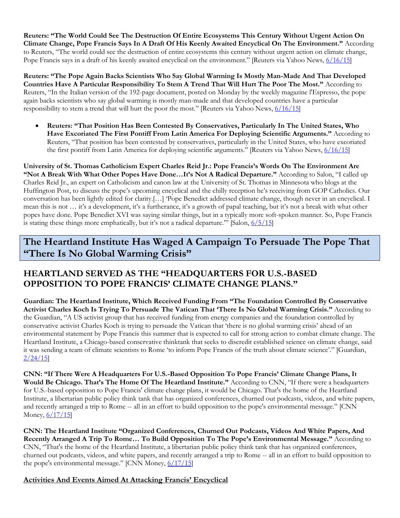**Reuters: "The World Could See The Destruction Of Entire Ecosystems This Century Without Urgent Action On Climate Change, Pope Francis Says In A Draft Of His Keenly Awaited Encyclical On The Environment."** According to Reuters, "The world could see the destruction of entire ecosystems this century without urgent action on climate change, Pope Francis says in a draft of his keenly awaited encyclical on the environment." [Reuters via Yahoo News, [6/16/15\]](http://news.yahoo.com/pope-draft-encyclical-calls-swift-action-climate-change-101836127.html)

**Reuters: "The Pope Again Backs Scientists Who Say Global Warming Is Mostly Man-Made And That Developed Countries Have A Particular Responsibility To Stem A Trend That Will Hurt The Poor The Most."** According to Reuters, "In the Italian version of the 192-page document, posted on Monday by the weekly magazine l'Espresso, the pope again backs scientists who say global warming is mostly man-made and that developed countries have a particular responsibility to stem a trend that will hurt the poor the most." [Reuters via Yahoo News, [6/16/15\]](http://news.yahoo.com/pope-draft-encyclical-calls-swift-action-climate-change-101836127.html)

 **Reuters: "That Position Has Been Contested By Conservatives, Particularly In The United States, Who Have Excoriated The First Pontiff From Latin America For Deploying Scientific Arguments."** According to Reuters, "That position has been contested by conservatives, particularly in the United States, who have excoriated the first pontiff from Latin America for deploying scientific arguments." [Reuters via Yahoo News, [6/16/15\]](http://news.yahoo.com/pope-draft-encyclical-calls-swift-action-climate-change-101836127.html)

**University of St. Thomas Catholicism Expert Charles Reid Jr.: Pope Francis's Words On The Environment Are "Not A Break With What Other Popes Have Done…It's Not A Radical Departure."** According to Salon, "I called up Charles Reid Jr., an expert on Catholicism and canon law at the University of St. Thomas in Minnesota who blogs at the Huffington Post, to discuss the pope's upcoming encyclical and the chilly reception he's receiving from GOP Catholics. Our conversation has been lightly edited for clarity.[…] 'Pope Benedict addressed climate change, though never in an encyclical. I mean this is not … it's a development, it's a furtherance, it's a growth of papal teaching, but it's not a break with what other popes have done. Pope Benedict XVI was saying similar things, but in a typically more soft-spoken manner. So, Pope Francis is stating these things more emphatically, but it's not a radical departure."  $\lceil \text{Salon}, \frac{6}{5}/15 \rceil$ 

# **The Heartland Institute Has Waged A Campaign To Persuade The Pope That "There Is No Global Warming Crisis"**

# **HEARTLAND SERVED AS THE "HEADQUARTERS FOR U.S.-BASED OPPOSITION TO POPE FRANCIS' CLIMATE CHANGE PLANS."**

**Guardian: The Heartland Institute, Which Received Funding From "The Foundation Controlled By Conservative Activist Charles Koch Is Trying To Persuade The Vatican That 'There Is No Global Warming Crisis."** According to the Guardian, "A US activist group that has received funding from energy companies and the foundation controlled by conservative activist Charles Koch is trying to persuade the Vatican that 'there is no global warming crisis' ahead of an environmental statement by Pope Francis this summer that is expected to call for strong action to combat climate change. The Heartland Institute, a Chicago-based conservative thinktank that seeks to discredit established science on climate change, said it was sending a team of climate scientists to Rome 'to inform Pope Francis of the truth about climate science'." [Guardian, [2/24/15\]](file://ambridge1/Users/lmorgan/Downloads/has%20received%20a%20single%20donation%20of%20$25,000%20in%202012%20from%20the%20Charles%20G%20Koch%20Foundation,)

**CNN: "If There Were A Headquarters For U.S.-Based Opposition To Pope Francis' Climate Change Plans, It Would Be Chicago. That's The Home Of The Heartland Institute."** According to CNN, "If there were a headquarters for U.S.-based opposition to Pope Francis' climate change plans, it would be Chicago. That's the home of the Heartland Institute, a libertarian public policy think tank that has organized conferences, churned out podcasts, videos, and white papers, and recently arranged a trip to Rome -- all in an effort to build opposition to the pope's environmental message." [CNN Money[, 6/17/15\]](http://money.cnn.com/2015/06/17/news/pope-climate-change-opposition/)

**CNN: The Heartland Institute "Organized Conferences, Churned Out Podcasts, Videos And White Papers, And Recently Arranged A Trip To Rome… To Build Opposition To The Pope's Environmental Message."** According to CNN, "That's the home of the Heartland Institute, a libertarian public policy think tank that has organized conferences, churned out podcasts, videos, and white papers, and recently arranged a trip to Rome -- all in an effort to build opposition to the pope's environmental message."  $[CNN Money, 6/17/15]$  $[CNN Money, 6/17/15]$ 

## **Activities And Events Aimed At Attacking Francis' Encyclical**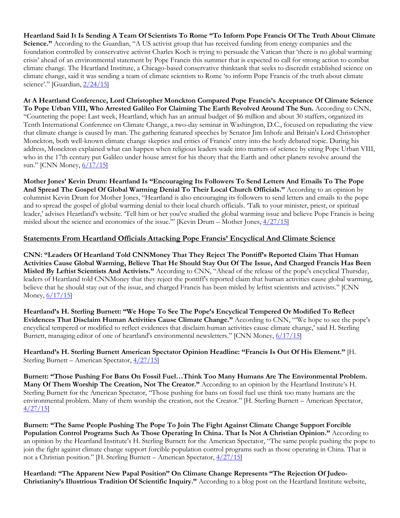**Heartland Said It Is Sending A Team Of Scientists To Rome "To Inform Pope Francis Of The Truth About Climate Science."** According to the Guardian, "A US activist group that has received funding from energy companies and the foundation controlled by conservative activist Charles Koch is trying to persuade the Vatican that 'there is no global warming crisis' ahead of an environmental statement by Pope Francis this summer that is expected to call for strong action to combat climate change. The Heartland Institute, a Chicago-based conservative thinktank that seeks to discredit established science on climate change, said it was sending a team of climate scientists to Rome 'to inform Pope Francis of the truth about climate science'." [Guardian, [2/24/15\]](file://ambridge1/Users/lmorgan/Downloads/has%20received%20a%20single%20donation%20of%20$25,000%20in%202012%20from%20the%20Charles%20G%20Koch%20Foundation,)

**At A Heartland Conference, Lord Christopher Monckton Compared Pope Francis's Acceptance Of Climate Science To Pope Urban VIII, Who Arrested Galileo For Claiming The Earth Revolved Around The Sun.** According to CNN, "Countering the pope: Last week, Heartland, which has an annual budget of \$6 million and about 30 staffers, organized its Tenth International Conference on Climate Change, a two-day seminar in Washington, D.C., focused on repudiating the view that climate change is caused by man. The gathering featured speeches by Senator Jim Inhofe and Britain's Lord Christopher Monckton, both well-known climate change skeptics and critics of Francis' entry into the hotly debated topic. During his address, Monckton explained what can happen when religious leaders wade into matters of science by citing Pope Urban VIII, who in the 17th century put Galileo under house arrest for his theory that the Earth and other planets revolve around the sun." [CNN Money, <u>6/17/15</u>]

**Mother Jones' Kevin Drum: Heartland Is "Encouraging Its Followers To Send Letters And Emails To The Pope And Spread The Gospel Of Global Warming Denial To Their Local Church Officials."** According to an opinion by columnist Kevin Drum for Mother Jones, "Heartland is also encouraging its followers to send letters and emails to the pope and to spread the gospel of global warming denial to their local church officials. 'Talk to your minister, priest, or spiritual leader,' advises Heartland's website. 'Tell him or her you've studied the global warming issue and believe Pope Francis is being misled about the science and economics of the issue."" [Kevin Drum – Mother Jones,  $\frac{4}{27/15}$ ]

#### **Statements From Heartland Officials Attacking Pope Francis' Encyclical And Climate Science**

**CNN: "Leaders Of Heartland Told CNNMoney That They Reject The Pontiff's Reported Claim That Human Activities Cause Global Warming, Believe That He Should Stay Out Of The Issue, And Charged Francis Has Been Misled By Leftist Scientists And Activists."** According to CNN, "Ahead of the release of the pope's encyclical Thursday, leaders of Heartland told CNNMoney that they reject the pontiff's reported claim that human activities cause global warming, believe that he should stay out of the issue, and charged Francis has been misled by leftist scientists and activists." [CNN Money[, 6/17/15\]](http://money.cnn.com/2015/06/17/news/pope-climate-change-opposition/)

**Heartland's H. Sterling Burnett: "We Hope To See The Pope's Encyclical Tempered Or Modified To Reflect Evidences That Disclaim Human Activities Cause Climate Change."** According to CNN, "'We hope to see the pope's encyclical tempered or modified to reflect evidences that disclaim human activities cause climate change,' said H. Sterling Burnett, managing editor of one of heartland's environmental newsletters." [CNN Money, [6/17/15\]](http://money.cnn.com/2015/06/17/news/pope-climate-change-opposition/)

#### **Heartland's H. Sterling Burnett American Spectator Opinion Headline: "Francis Is Out Of His Element."** [H. Sterling Burnett – American Spectator, [4/27/15\]](http://spectator.org/articles/62519/francis-out-his-element)

**Burnett: "Those Pushing For Bans On Fossil Fuel…Think Too Many Humans Are The Environmental Problem. Many Of Them Worship The Creation, Not The Creator."** According to an opinion by the Heartland Institute's H. Sterling Burnett for the American Spectator, "Those pushing for bans on fossil fuel use think too many humans are the environmental problem. Many of them worship the creation, not the Creator." [H. Sterling Burnett – American Spectator, [4/27/15\]](http://spectator.org/articles/62519/francis-out-his-element)

**Burnett: "The Same People Pushing The Pope To Join The Fight Against Climate Change Support Forcible Population Control Programs Such As Those Operating In China. That Is Not A Christian Opinion."** According to an opinion by the Heartland Institute's H. Sterling Burnett for the American Spectator, "The same people pushing the pope to join the fight against climate change support forcible population control programs such as those operating in China. That is not a Christian position." [H. Sterling Burnett – American Spectator, [4/27/15\]](http://spectator.org/articles/62519/francis-out-his-element)

**Heartland: "The Apparent New Papal Position" On Climate Change Represents "The Rejection Of Judeo-Christianity's Illustrious Tradition Of Scientific Inquiry."** According to a blog post on the Heartland Institute website,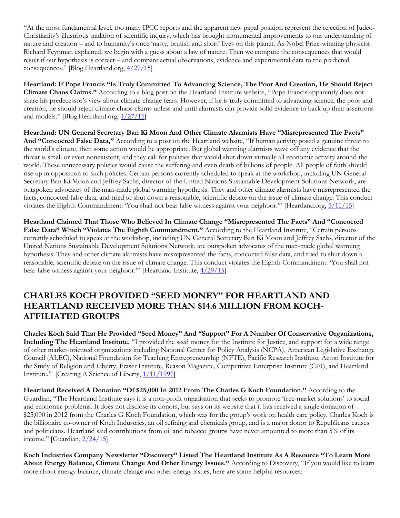"At the most fundamental level, too many IPCC reports and the apparent new papal position represent the rejection of Judeo-Christianity's illustrious tradition of scientific inquiry, which has brought monumental improvements to our understanding of nature and creation – and to humanity's once 'nasty, brutish and short' lives on this planet. As Nobel Prize-winning physicist Richard Feynman explained, we begin with a guess about a law of nature. Then we compute the consequences that would result if our hypothesis is correct – and compare actual observations, evidence and experimental data to the predicted consequences." [Blog.Heartland.org, [4/27/15\]](http://blog.heartland.org/2015/04/a-message-for-pope-francis/)

**Heartland: If Pope Francis "Is Truly Committed To Advancing Science, The Poor And Creation, He Should Reject Climate Chaos Claims."** According to a blog post on the Heartland Institute website, "Pope Francis apparently does not share his predecessor's view about climate change fears. However, if he is truly committed to advancing science, the poor and creation, he should reject climate chaos claims unless and until alarmists can provide solid evidence to back up their assertions and models." [Blog.Heartland.org, [4/27/15\]](http://blog.heartland.org/2015/04/a-message-for-pope-francis/)

**Heartland: UN General Secretary Ban Ki Moon And Other Climate Alarmists Have "Misrepresented The Facts" And "Concocted False Data,"** According to a post on the Heartland website, "If human activity posed a genuine threat to the world's climate, then some action would be appropriate. But global warming alarmists wave off any evidence that the threat is small or even nonexistent, and they call for policies that would shut down virtually all economic activity around the world. These unnecessary policies would cause the suffering and even death of billions of people. All people of faith should rise up in opposition to such policies. Certain persons currently scheduled to speak at the workshop, including UN General Secretary Ban Ki Moon and Jeffrey Sachs, director of the United Nations Sustainable Development Solutions Network, are outspoken advocates of the man-made global warming hypothesis. They and other climate alarmists have misrepresented the facts, concocted false data, and tried to shut down a reasonable, scientific debate on the issue of climate change. This conduct violates the Eighth Commandment: 'You shall not bear false witness against your neighbor.'" [Heartland.org, [5/11/15\]](https://www.heartland.org/Vatican-Environment-Workshop)

**Heartland Claimed That Those Who Believed In Climate Change "Misrepresented The Facts" And "Concocted**  False Data" Which "Violates The Eighth Commandment." According to the Heartland Institute, "Certain persons currently scheduled to speak at the workshop, including UN General Secretary Ban Ki Moon and Jeffrey Sachs, director of the United Nations Sustainable Development Solutions Network, are outspoken advocates of the man-made global warming hypothesis. They and other climate alarmists have misrepresented the facts, concocted false data, and tried to shut down a reasonable, scientific debate on the issue of climate change. This conduct violates the Eighth Commandment: 'You shall not bear false witness against your neighbor.'" [Heartland Institute, [4/29/15\]](https://www.heartland.org/Vatican-Environment-Workshop)

## **CHARLES KOCH PROVIDED "SEED MONEY" FOR HEARTLAND AND HEARTLAND RECEIVED MORE THAN \$14.6 MILLION FROM KOCH-AFFILIATED GROUPS**

**Charles Koch Said That He Provided "Seed Money" And "Support" For A Number Of Conservative Organizations, Including The Heartland Institute.** "I provided the seed money for the Institute for Justice, and support for a wide range of other market-oriented organizations including National Center for Policy Analysis (NCPA), American Legislative Exchange Council (ALEC), National Foundation for Teaching Entrepreneurship (NFTE), Pacific Research Institute, Acton Institute for the Study of Religion and Liberty, Fraser Institute, Reason Magazine, Competitive Enterprise Institute (CEI), and Heartland Institute." [Creating A Science of Liberty, [1/11/1997\]](https://web.archive.org/web/20080822061520/http:/www.cgkfoundation.org/creating-a-science-of-liberty)

**Heartland Received A Donation "Of \$25,000 In 2012 From The Charles G Koch Foundation."** According to the Guardian, "The Heartland Institute says it is a non-profit organisation that seeks to promote 'free-market solutions' to social and economic problems. It does not disclose its donors, but says on its website that it has received a single donation of \$25,000 in 2012 from the Charles G Koch Foundation, which was for the group's work on health care policy. Charles Koch is the billionaire co-owner of Koch Industries, an oil refining and chemicals group, and is a major donor to Republicans causes and politicians. Heartland said contributions from oil and tobacco groups have never amounted to more than 5% of its income." [Guardian, [2/24/15\]](file://ambridge1/Users/lmorgan/Downloads/has%20received%20a%20single%20donation%20of%20$25,000%20in%202012%20from%20the%20Charles%20G%20Koch%20Foundation,)

**Koch Industries Company Newsletter "Discovery" Listed The Heartland Institute As A Resource "To Learn More About Energy Balance, Climate Change And Other Energy Issues."** According to Discovery, "If you would like to learn more about energy balance, climate change and other energy issues, here are some helpful resources: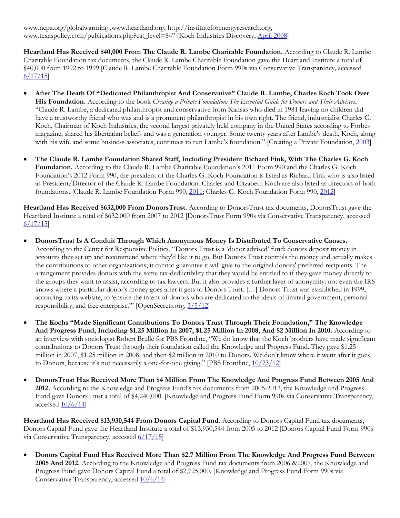www.ncpa.org/globalwarming ,www.heartland.org, http://instituteforenergyresearch.org, www.texaspolicy.com/publications.php?cat\_level=84" [Koch Industries Discovery, [April 2008\]](http://www.kochind.com/files/DiscoveryApril2008.pdf)

**Heartland Has Received \$40,000 From The Claude R. Lambe Charitable Foundation.** According to Claude R. Lambe Charitable Foundation tax documents, the Claude R. Lambe Charitable Foundation gave the Heartland Institute a total of \$40,000 from 1992 to 1999 [Claude R. Lambe Charitable Foundation Form 990s via Conservative Transparency, accessed [6/17/15\]](http://conservativetransparency.org/org/claude-r-lambe-charitable-foundation/?og_tot=542&order_by=&adv=heartland+institute&min=&max=&yr=&yr1=&yr2=&submit=#grants)

- **After The Death Of "Dedicated Philanthropist And Conservative" Claude R. Lambe, Charles Koch Took Over His Foundation.** According to the book *Creating a Private Foundation: The Essential Guide for Donors and Their Advisers*, "Claude R. Lambe, a dedicated philanthropist and conservative from Kansas who died in 1981 leaving no children did have a trustworthy friend who was and is a prominent philanthropist in his own right. The friend, industrialist Charles G. Koch, Chairman of Koch Industries, the second largest privately held company in the United States according to Forbes magazine, shared his libertarian beliefs and was a generation younger. Some twenty years after Lambe's death, Koch, along with his wife and some business associates, continues to run Lambe's foundation." [Creating a Private Foundation, [2003\]](http://books.google.com/books?id=TQQfknud6vEC&pg=PA62&lpg=PA62&dq=Claude+R.+Lambe&source=bl&ots=pRD5wIgOdU&sig=cu4kaqfckMv8098u4N3U2tfMnsg&hl=en&sa=X&ei=7M7FUvDZCqPz2QXwrYD4Cg&ved=0CEsQ6AEwBjgo#v=onepage&q=Claude%20R.%20Lambe&f=false)
- **The Claude R. Lambe Foundation Shared Staff, Including President Richard Fink, With The Charles G. Koch Foundation.** According to the Claude R. Lambe Charitable Foundation's 2011 Form 990 and the Charles G. Koch Foundation's 2012 Form 990, the president of the Charles G. Koch Foundation is listed as Richard Fink who is also listed as President/Director of the Claude R. Lambe Foundation. Charles and Elizabeth Koch are also listed as directors of both foundations. [Claude R. Lambe Foundation Form 990, [2011;](http://conservativetransparency.org/app/uploads/Claude-R.-Lambe-Charitable-Foundation-2011.pdf) Charles G. Koch Foundation Form 990, [2012\]](http://25e133bf14d33a6c3e14-4c7a8f45b024696a8cb6888a5a7a3763.r55.cf2.rackcdn.com/CKF%202012%20990-PF%20Public%20Disclosure.pdf)

**Heartland Has Received \$632,000 From DonorsTrust.** According to DonorsTrust tax documents, DonorsTrust gave the Heartland Institute a total of \$632,000 from 2007 to 2012 [DonorsTrust Form 990s via Conservative Transparency, accessed [6/17/15\]](http://conservativetransparency.org/org/donorstrust/?og_tot=3511&order_by=&adv=heartland+institute&min=&max=&yr=&yr1=&yr2=&submit=#grants)

- **DonorsTrust Is A Conduit Through Which Anonymous Money Is Distributed To Conservative Causes.**  According to the Center for Responsive Politics, "Donors Trust is a 'donor advised' fund: donors deposit money in accounts they set up and recommend where they'd like it to go. But Donors Trust controls the money and actually makes the contributions to other organizations; it cannot guarantee it will give to the original donors' preferred recipients. The arrangement provides donors with the same tax-deductibility that they would be entitled to if they gave money directly to the groups they want to assist, according to tax lawyers. But it also provides a further layer of anonymity: not even the IRS knows where a particular donor's money goes after it gets to Donors Trust. […] Donors Trust was established in 1999, according to its website, to 'ensure the intent of donors who are dedicated to the ideals of limited government, personal responsibility, and free enterprise.'" [OpenSecrets.org, [3/5/12\]](http://www.opensecrets.org/news/2012/03/energy-industry-trade-groups.html)
- **The Kochs "Made Significant Contributions To Donors Trust Through Their Foundation," The Knowledge And Progress Fund, Including \$1.25 Million In 2007, \$1.25 Million In 2008, And \$2 Million In 2010.** According to an interview with sociologist Robert Brulle for PBS Frontline, "We do know that the Koch brothers have made significant contributions to Donors Trust through their foundation called the Knowledge and Progress Fund. They gave \$1.25 million in 2007, \$1.25 million in 2008, and then \$2 million in 2010 to Donors. We don't know where it went after it goes to Donors, because it's not necessarily a one-for-one giving." [PBS Frontline,  $10/23/12$ ]
- **DonorsTrust Has Received More Than \$4 Million From The Knowledge And Progress Fund Between 2005 And 2012.** According to the Knowledge and Progress Fund's tax documents from 2005-2012, the Knowledge and Progress Fund gave DonorsTrust a total of \$4,240,000. [Knowledge and Progress Fund Form 990s via Conservative Transparency, accessed [10/6/14\]](http://conservativetransparency.org/org/knowledge-and-progress-fund/?og_tot=10&order_by=&adv=donorstrust&min=&max=&yr=&yr1=&yr2=&submit=#grants)

**Heartland Has Received \$13,930,544 From Donors Capital Fund.** According to Donors Capital Fund tax documents, Donors Capital Fund gave the Heartland Institute a total of \$13,930,544 from 2005 to 2012 [Donors Capital Fund Form 990s via Conservative Transparency, accessed [6/17/15\]](http://conservativetransparency.org/org/donors-capital-fund/?og_tot=1869&order_by=&adv=Heartland+Institute&min=&max=&yr=&yr1=&yr2=&submit=#grants)

 **Donors Capital Fund Has Received More Than \$2.7 Million From The Knowledge And Progress Fund Between 2005 And 2012.** According to the Knowledge and Progress Fund tax documents from 2006 &2007, the Knowledge and Progress Fund gave Donors Capital Fund a total of \$2,725,000. [Knowledge and Progress Fund Form 990s via Conservative Transparency, accessed [10/6/14\]](http://conservativetransparency.org/org/knowledge-and-progress-fund/?og_tot=10&order_by=&adv=Donors+Capital&min=&max=&yr=&yr1=&yr2=&submit=#grants)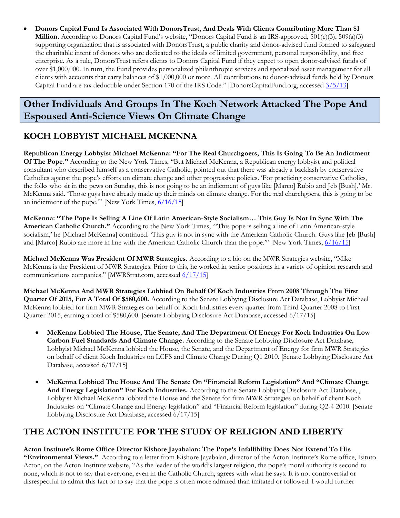**Donors Capital Fund Is Associated With DonorsTrust, And Deals With Clients Contributing More Than \$1 Million.** According to Donors Capital Fund's website, "Donors Capital Fund is an IRS-approved, 501(c)(3), 509(a)(3) supporting organization that is associated with DonorsTrust, a public charity and donor-advised fund formed to safeguard the charitable intent of donors who are dedicated to the ideals of limited government, personal responsibility, and free enterprise. As a rule, DonorsTrust refers clients to Donors Capital Fund if they expect to open donor-advised funds of over \$1,000,000. In turn, the Fund provides personalized philanthropic services and specialized asset management for all clients with accounts that carry balances of \$1,000,000 or more. All contributions to donor-advised funds held by Donors Capital Fund are tax deductible under Section 170 of the IRS Code." [DonorsCapitalFund.org, accessed [3/5/13\]](http://www.donorscapitalfund.org/home.html?x=6)

# **Other Individuals And Groups In The Koch Network Attacked The Pope And Espoused Anti-Science Views On Climate Change**

# **KOCH LOBBYIST MICHAEL MCKENNA**

**Republican Energy Lobbyist Michael McKenna: "For The Real Churchgoers, This Is Going To Be An Indictment Of The Pope."** According to the New York Times, "But Michael McKenna, a Republican energy lobbyist and political consultant who described himself as a conservative Catholic, pointed out that there was already a backlash by conservative Catholics against the pope's efforts on climate change and other progressive policies. 'For practicing conservative Catholics, the folks who sit in the pews on Sunday, this is not going to be an indictment of guys like [Marco] Rubio and Jeb [Bush],' Mr. McKenna said. 'Those guys have already made up their minds on climate change. For the real churchgoers, this is going to be an indictment of the pope." [New York Times,  $6/16/15$ ]

**McKenna: "The Pope Is Selling A Line Of Latin American-Style Socialism… This Guy Is Not In Sync With The American Catholic Church."** According to the New York Times, "'This pope is selling a line of Latin American-style socialism,' he [Michael McKenna] continued. 'This guy is not in sync with the American Catholic Church. Guys like Jeb [Bush] and [Marco] Rubio are more in line with the American Catholic Church than the pope.'" [New York Times, [6/16/15\]](http://www.nytimes.com/2015/06/17/us/politics/popes-views-press-gop-on-climate-change.html?_r=2&gwh=A3F286BB09676172FFCFF2254185EBBC&gwt=pay#story-continues-8)

**Michael McKenna Was President Of MWR Strategies.** According to a bio on the MWR Strategies website, "Mike McKenna is the President of MWR Strategies. Prior to this, he worked in senior positions in a variety of opinion research and communications companies." [MWRStrat.com, accessed [6/17/15\]](http://www.mwrstrat.com/index.php/bios/)

**Michael McKenna And MWR Strategies Lobbied On Behalf Of Koch Industries From 2008 Through The First Quarter Of 2015, For A Total Of \$580,600.** According to the Senate Lobbying Disclosure Act Database, Lobbyist Michael McKenna lobbied for firm MWR Strategies on behalf of Koch Industries every quarter from Third Quarter 2008 to First Quarter 2015, earning a total of \$580,600. [Senate Lobbying Disclosure Act Database, accessed 6/17/15]

- **McKenna Lobbied The House, The Senate, And The Department Of Energy For Koch Industries On Low Carbon Fuel Standards And Climate Change.** According to the Senate Lobbying Disclosure Act Database, Lobbyist Michael McKenna lobbied the House, the Senate, and the Department of Energy for firm MWR Strategies on behalf of client Koch Industries on LCFS and Climate Change During Q1 2010. [Senate Lobbying Disclosure Act Database, accessed 6/17/15]
- **McKenna Lobbied The House And The Senate On "Financial Reform Legislation" And "Climate Change And Energy Legislation" For Koch Industries.** According to the Senate Lobbying Disclosure Act Database, , Lobbyist Michael McKenna lobbied the House and the Senate for firm MWR Strategies on behalf of client Koch Industries on "Climate Change and Energy legislation" and "Financial Reform legislation" during Q2-4 2010. [Senate Lobbying Disclosure Act Database, accessed 6/17/15]

# **THE ACTON INSTITUTE FOR THE STUDY OF RELIGION AND LIBERTY**

**Acton Institute's Rome Office Director Kishore Jayabalan: The Pope's Infallibility Does Not Extend To His "Environmental Views."** According to a letter from Kishore Jayabalan, director of the Acton Institute's Rome office, Isituto Acton, on the Acton Institute website, "As the leader of the world's largest religion, the pope's moral authority is second to none, which is not to say that everyone, even in the Catholic Church, agrees with what he says. It is not controversial or disrespectful to admit this fact or to say that the pope is often more admired than imitated or followed. I would further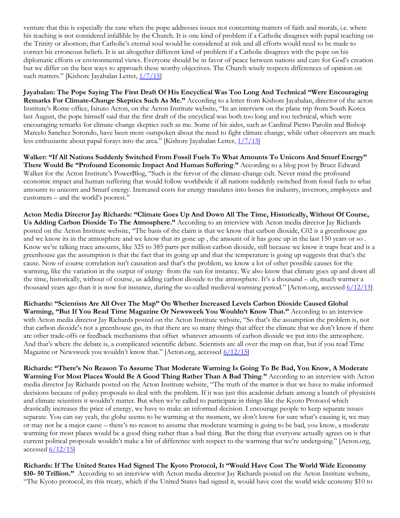venture that this is especially the case when the pope addresses issues not concerning matters of faith and morals, i.e. where his teaching is not considered infallible by the Church. It is one kind of problem if a Catholic disagrees with papal teaching on the Trinity or abortion; that Catholic's eternal soul would be considered at risk and all efforts would need to be made to correct his erroneous beliefs. It is an altogether different kind of problem if a Catholic disagrees with the pope on his diplomatic efforts or environmental views. Everyone should be in favor of peace between nations and care for God's creation but we differ on the best ways to approach these worthy objectives. The Church wisely respects differences of opinion on such matters." [Kishore Jayabalan Letter,  $\frac{1}{7/15}$ ]

**Jayabalan: The Pope Saying The First Draft Of His Encyclical Was Too Long And Technical "Were Encouraging Remarks For Climate-Change Skeptics Such As Me."** According to a letter from Kishore Jayabalan, director of the acton Institute's Rome office, Isituto Acton, on the Acton Institute website, "In an interview on the plane trip from South Korea last August, the pope himself said that the first draft of the encyclical was both too long and too technical, which were encouraging remarks for climate-change skeptics such as me. Some of his aides, such as Cardinal Pietro Parolin and Bishop Marcelo Sanchez Sorondo, have been more outspoken about the need to fight climate change, while other observers are much less enthusiastic about papal forays into the area." [Kishore Jayabalan Letter, [1/7/15\]](http://www.acton.org/global/article/letter-rome-what-will-pope-francis-say-about-envir)

**Walker: "If All Nations Suddenly Switched From Fossil Fuels To What Amounts To Unicorn And Smurf Energy" There Would Be "Profound Economic Impact And Human Suffering**.**"** According to a blog post by Bruce Edward Walker for the Acton Institute's PowerBlog, "Such is the fervor of the climate-change cult. Never mind the profound economic impact and human suffering that would follow worldwide if all nations suddenly switched from fossil fuels to what amounts to unicorn and Smurf energy. Increased costs for energy translates into losses for industry, investors, employees and customers – and the world's poorest."

**Acton Media Director Jay Richards: "Climate Goes Up And Down All The Time, Historically, Without Of Course, Us Adding Carbon Dioxide To The Atmosphere."** According to an interview with Acton media director Jay Richards posted on the Acton Institute website, "The basis of the claim is that we know that carbon dioxide, C02 is a greenhouse gas and we know its in the atmosphere and we know that its gone up , the amount of it has gone up in the last 150 years or so . Know we're talking trace amounts, like 325 to 385 parts per million carbon dioxide, still because we know it traps heat and is a greenhouse gas the assumption is that the fact that its going up and that the temperature is going up suggests that that's the cause. Now of course correlation isn't causation and that's the problem, we know a lot of other possible causes for the warming, like the variation in the output of energy from the sun for instance. We also know that climate goes up and down all the time, historically, without of course, us adding carbon dioxide to the atmosphere. It's a thousand – uh, much warmer a thousand years ago than it is now for instance, during the so-called medieval warming period." [Acton.org, accessed [6/12/15\]](http://www.acton.org/media/audio/earth-day-review-global-warming)

**Richards: "Scientists Are All Over The Map" On Whether Increased Levels Carbon Dioxide Caused Global Warming, "But If You Read Time Magazine Or Newsweek You Wouldn't Know That."** According to an interview with Acton media director Jay Richards posted on the Acton Institute website, "So that's the assumption the problem is, not that carbon dioxide's not a greenhouse gas, its that there are so many things that affect the climate that we don't know if there are other trade-offs or feedback mechanisms that offset whatever amounts of carbon dioxide we put into the atmosphere. And that's where the debate is, a complicated scientific debate. Scientists are all over the map on that, but if you read Time Magazine or Newsweek you wouldn't know that." [Acton.org, accessed [6/12/15\]](http://www.acton.org/media/audio/earth-day-review-global-warming)

**Richards: "There's No Reason To Assume That Moderate Warming Is Going To Be Bad, You Know, A Moderate Warming For Most Places Would Be A Good Thing Rather Than A Bad Thing**.**"** According to an interview with Acton media director Jay Richards posted on the Acton Institute website, "The truth of the matter is that we have to make informed decisions because of policy proposals to deal with the problem. If it was just this academic debate among a bunch of physicists and climate scientists it wouldn't matter. But when we're called to participate in things like the Kyoto Protocol which drastically increases the price of energy, we have to make an informed decision. I encourage people to keep separate issues separate. You can say yeah, the globe seems to be warming at the moment, we don't know for sure what's causing it, we may or may not be a major cause – there's no reason to assume that moderate warming is going to be bad, you know, a moderate warming for most places would be a good thing rather than a bad thing. But the thing that everyone actually agrees on is that current political proposals wouldn't make a bit of difference with respect to the warming that we're undergoing." [Acton.org, accessed  $6/12/15$ ]

**Richards: If The United States Had Signed The Kyoto Protocol, It "Would Have Cost The World Wide Economy \$10- 50 Trillion."** According to an interview with Acton media director Jay Richards posted on the Acton Institute website, "The Kyoto protocol, its this treaty, which if the United States had signed it, would have cost the world wide economy \$10 to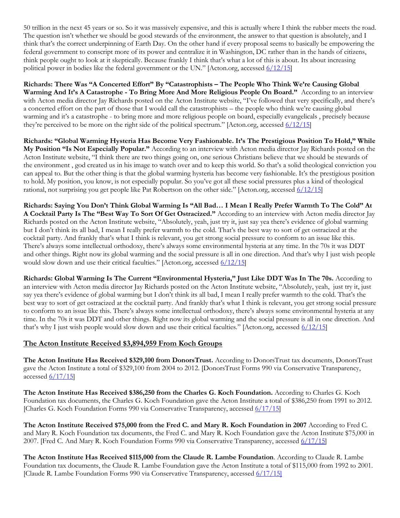50 trillion in the next 45 years or so. So it was massively expensive, and this is actually where I think the rubber meets the road. The question isn't whether we should be good stewards of the environment, the answer to that question is absolutely, and I think that's the correct underpinning of Earth Day. On the other hand if every proposal seems to basically be empowering the federal government to conscript more of its power and centralize it in Washington, DC rather than in the hands of citizens, think people ought to look at it skeptically. Because frankly I think that's what a lot of this is about. Its about increasing political power in bodies like the federal government or the UN." [Acton.org, accessed [6/12/15\]](http://www.acton.org/media/audio/earth-day-review-global-warming)

**Richards: There Was "A Concerted Effort" By "Catastrophists – The People Who Think We're Causing Global Warming And It's A Catastrophe - To Bring More And More Religious People On Board."** According to an interview with Acton media director Jay Richards posted on the Acton Institute website, "I've followed that very specifically, and there's a concerted effort on the part of those that I would call the catastrophists – the people who think we're causing global warming and it's a catastrophe - to bring more and more religious people on board, especially evangelicals , precisely because they're perceived to be more on the right side of the political spectrum." [Acton.org, accessed  $6/12/15$ ]

**Richards: "Global Warming Hysteria Has Become Very Fashionable. It's The Prestigious Position To Hold," While My Position "Is Not Especially Popular."** According to an interview with Acton media director Jay Richards posted on the Acton Institute website, "I think there are two things going on, one serious Christians believe that we should be stewards of the environment , god created us in his image to watch over and to keep this world. So that's a solid theological conviction you can appeal to. But the other thing is that the global warming hysteria has become very fashionable. It's the prestigious position to hold. My position, you know, is not especially popular. So you've got all these social pressures plus a kind of theological rational, not surprising you get people like Pat Robertson on the other side." [Acton.org, accessed [6/12/15\]](http://www.acton.org/media/audio/earth-day-review-global-warming)

**Richards: Saying You Don't Think Global Warming Is "All Bad… I Mean I Really Prefer Warmth To The Cold" At A Cocktail Party Is The "Best Way To Sort Of Get Ostracized."** According to an interview with Acton media director Jay Richards posted on the Acton Institute website, "Absolutely, yeah, just try it, just say yea there's evidence of global warming but I don't think its all bad, I mean I really prefer warmth to the cold. That's the best way to sort of get ostracized at the cocktail party. And frankly that's what I think is relevant, you get strong social pressure to conform to an issue like this. There's always some intellectual orthodoxy, there's always some environmental hysteria at any time. In the 70s it was DDT and other things. Right now its global warming and the social pressure is all in one direction. And that's why I just wish people would slow down and use their critical faculties." [Acton.org, accessed [6/12/15\]](http://www.acton.org/media/audio/earth-day-review-global-warming)

**Richards: Global Warming Is The Current "Environmental Hysteria," Just Like DDT Was In The 70s.** According to an interview with Acton media director Jay Richards posted on the Acton Institute website, "Absolutely, yeah, just try it, just say yea there's evidence of global warming but I don't think its all bad, I mean I really prefer warmth to the cold. That's the best way to sort of get ostracized at the cocktail party. And frankly that's what I think is relevant, you get strong social pressure to conform to an issue like this. There's always some intellectual orthodoxy, there's always some environmental hysteria at any time. In the 70s it was DDT and other things. Right now its global warming and the social pressure is all in one direction. And that's why I just wish people would slow down and use their critical faculties." [Acton.org, accessed [6/12/15\]](http://www.acton.org/media/audio/earth-day-review-global-warming)

## **The Acton Institute Received \$3,894,959 From Koch Groups**

**The Acton Institute Has Received \$329,100 from DonorsTrust.** According to DonorsTrust tax documents, DonorsTrust gave the Acton Institute a total of \$329,100 from 2004 to 2012. [DonorsTrust Forms 990 via Conservative Transparency, accessed  $6/17/15$ ]

**The Acton Institute Has Received \$386,250 from the Charles G. Koch Foundation.** According to Charles G. Koch Foundation tax documents, the Charles G. Koch Foundation gave the Acton Institute a total of \$386,250 from 1991 to 2012. [Charles G. Koch Foundation Forms 990 via Conservative Transparency, accessed [6/17/15\]](http://conservativetransparency.org/org/charles-g-koch-charitable-foundation/?og_tot=1237&order_by=&adv=Acton+institute&min=&max=&yr=&yr1=&yr2=&submit=#grants)

**The Acton Institute Received \$75,000 from the Fred C. and Mary R. Koch Foundation in 2007** According to Fred C. and Mary R. Koch Foundation tax documents, the Fred C. and Mary R. Koch Foundation gave the Acton Institute \$75,000 in 2007. [Fred C. And Mary R. Koch Foundation Forms 990 via Conservative Transparency, accesse[d 6/17/15\]](http://conservativetransparency.org/org/fred-c-and-mary-r-koch-foundation/?og_tot=318&order_by=&adv=acton+institute&min=&max=&yr=&yr1=&yr2=&submit=#grants)

**The Acton Institute Has Received \$115,000 from the Claude R. Lambe Foundation**. According to Claude R. Lambe Foundation tax documents, the Claude R. Lambe Foundation gave the Acton Institute a total of \$115,000 from 1992 to 2001. [Claude R. Lambe Foundation Forms 990 via Conservative Transparency, accessed [6/17/15\]](http://conservativetransparency.org/org/claude-r-lambe-charitable-foundation/?og_tot=542&order_by=&adv=Acton+Institute&min=&max=&yr=&yr1=&yr2=&submit=#grants)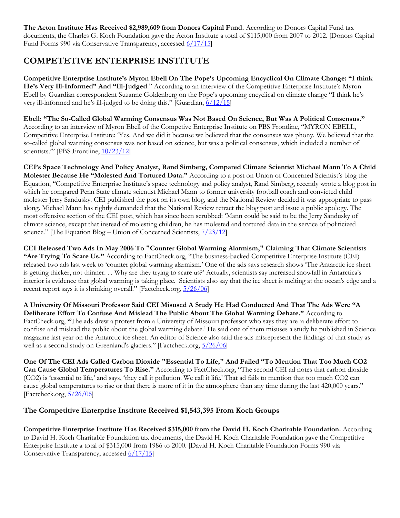**The Acton Institute Has Received \$2,989,609 from Donors Capital Fund.** According to Donors Capital Fund tax documents, the Charles G. Koch Foundation gave the Acton Institute a total of \$115,000 from 2007 to 2012. [Donors Capital Fund Forms 990 via Conservative Transparency, accessed  $6/17/15$ ]

## **COMPETETIVE ENTERPRISE INSTITUTE**

**Competitive Enterprise Institute's Myron Ebell On The Pope's Upcoming Encyclical On Climate Change: "I think He's Very Ill-Informed" And "Ill-Judged**." According to an interview of the Competitive Enterprise Institute's Myron Ebell by Guardian correspondent Suzanne Goldenberg on the Pope's upcoming encyclical on climate change "I think he's very ill-informed and he's ill-judged to be doing this." [Guardian, [6/12/15\]](http://www.theguardian.com/environment/video/2015/jun/12/us-climate-change-deniers-pope-environment-encyclical-video)

**Ebell: "The So-Called Global Warming Consensus Was Not Based On Science, But Was A Political Consensus."**  According to an interview of Myron Ebell of the Competive Enterprise Institute on PBS Frontline, "MYRON EBELL, Competitive Enterprise Institute: 'Yes. And we did it because we believed that the consensus was phony. We believed that the so-called global warming consensus was not based on science, but was a political consensus, which included a number of scientists." [PBS Frontline,  $\frac{10/23/12}{2}$ ]

**CEI's Space Technology And Policy Analyst, Rand Simberg, Compared Climate Scientist Michael Mann To A Child Molester Because He "Molested And Tortured Data."** According to a post on Union of Concerned Scientist's blog the Equation, "Competitive Enterprise Institute's space technology and policy analyst, Rand Simberg, recently wrote a blog post in which he compared Penn State climate scientist Michael Mann to former university football coach and convicted child molester Jerry Sandusky. CEI published the post on its own blog, and the National Review decided it was appropriate to pass along. Michael Mann has rightly demanded that the National Review retract the blog post and issue a public apology. The most offensive section of the CEI post, which has since been scrubbed: 'Mann could be said to be the Jerry Sandusky of climate science, except that instead of molesting children, he has molested and tortured data in the service of politicized science." [The Equation Blog – Union of Concerned Scientists,  $\frac{7}{23/12}$ ]

**CEI Released Two Ads In May 2006 To "Counter Global Warming Alarmism," Claiming That Climate Scientists "Are Trying To Scare Us."** According to FactCheck.org, "The business-backed Competitive Enterprise Institute (CEI) released two ads last week to 'counter global warming alarmism.' One of the ads says research shows 'The Antarctic ice sheet is getting thicker, not thinner. . . Why are they trying to scare us?' Actually, scientists say increased snowfall in Antarctica's interior is evidence that global warming is taking place. Scientists also say that the ice sheet is melting at the ocean's edge and a recent report says it is shrinking overall." [Factcheck.org,  $\frac{5/26/06}{1}$ ]

**A University Of Missouri Professor Said CEI Misused A Study He Had Conducted And That The Ads Were "A Deliberate Effort To Confuse And Mislead The Public About The Global Warming Debate."** According to FactCheck.org, **"**The ads drew a protest from a University of Missouri professor who says they are 'a deliberate effort to confuse and mislead the public about the global warming debate.' He said one of them misuses a study he published in Science magazine last year on the Antarctic ice sheet. An editor of Science also said the ads misrepresent the findings of that study as well as a second study on Greenland's glaciers." [Factcheck.org, [5/26/06\]](http://factcheck.bootnetworks.com/article395.html)

**One Of The CEI Ads Called Carbon Dioxide "Essential To Life," And Failed "To Mention That Too Much CO2 Can Cause Global Temperatures To Rise."** According to FactCheck.org, "The second CEI ad notes that carbon dioxide (CO2) is 'essential to life,' and says, 'they call it pollution. We call it life.' That ad fails to mention that too much CO2 can cause global temperatures to rise or that there is more of it in the atmosphere than any time during the last 420,000 years." [Factcheck.org,  $\frac{5}{26/06}$ ]

## **The Competitive Enterprise Institute Received \$1,543,395 From Koch Groups**

**Competitive Enterprise Institute Has Received \$315,000 from the David H. Koch Charitable Foundation.** According to David H. Koch Charitable Foundation tax documents, the David H. Koch Charitable Foundation gave the Competitive Enterprise Institute a total of \$315,000 from 1986 to 2000. [David H. Koch Charitable Foundation Forms 990 via Conservative Transparency, accessed [6/17/15\]](http://conservativetransparency.org/org/david-h-koch-charitable-foundation/?og_tot=447&order_by=&adv=Competitive+Enterprise+Institute&min=&max=&yr=&yr1=&yr2=&submit=#grants)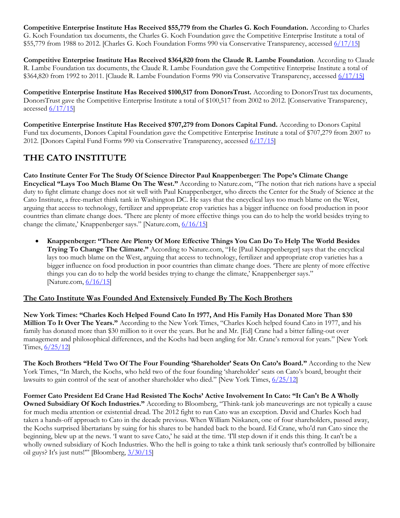**Competitive Enterprise Institute Has Received \$55,779 from the Charles G. Koch Foundation.** According to Charles G. Koch Foundation tax documents, the Charles G. Koch Foundation gave the Competitive Enterprise Institute a total of \$55,779 from 1988 to 2012. [Charles G. Koch Foundation Forms 990 via Conservative Transparency, accessed  $6/17/15$ ]

**Competitive Enterprise Institute Has Received \$364,820 from the Claude R. Lambe Foundation**. According to Claude R. Lambe Foundation tax documents, the Claude R. Lambe Foundation gave the Competitive Enterprise Institute a total of \$364,820 from 1992 to 2011. [Claude R. Lambe Foundation Forms 990 via Conservative Transparency, accessed  $6/17/15$ ]

**Competitive Enterprise Institute Has Received \$100,517 from DonorsTrust.** According to DonorsTrust tax documents, DonorsTrust gave the Competitive Enterprise Institute a total of \$100,517 from 2002 to 2012. [Conservative Transparency, accessed  $6/17/15$ ]

**Competitive Enterprise Institute Has Received \$707,279 from Donors Capital Fund.** According to Donors Capital Fund tax documents, Donors Capital Foundation gave the Competitive Enterprise Institute a total of \$707,279 from 2007 to 2012. [Donors Capital Fund Forms 990 via Conservative Transparency, accessed [6/17/15\]](http://conservativetransparency.org/org/donors-capital-fund/?og_tot=1869&order_by=&adv=Competitive+Enterprise+Institute&min=&max=&yr=&yr1=&yr2=&submit=#grants)

# **THE CATO INSTITUTE**

**Cato Institute Center For The Study Of Science Director Paul Knappenberger: The Pope's Climate Change Encyclical "Lays Too Much Blame On The West."** According to Nature.com, "The notion that rich nations have a special duty to fight climate change does not sit well with Paul Knappenberger, who directs the Center for the Study of Science at the Cato Institute, a free-market think tank in Washington DC. He says that the encyclical lays too much blame on the West, arguing that access to technology, fertilizer and appropriate crop varieties has a bigger influence on food production in poor countries than climate change does. 'There are plenty of more effective things you can do to help the world besides trying to change the climate,' Knappenberger says." [Nature.com, [6/16/15\]](http://www.nature.com/news/pope-francis-pushes-for-action-to-limit-climate-change-1.17760)

 **Knappenberger: "There Are Plenty Of More Effective Things You Can Do To Help The World Besides Trying To Change The Climate."** According to Nature.com, "He [Paul Knappenberger] says that the encyclical lays too much blame on the West, arguing that access to technology, fertilizer and appropriate crop varieties has a bigger influence on food production in poor countries than climate change does. 'There are plenty of more effective things you can do to help the world besides trying to change the climate,' Knappenberger says." [Nature.com, [6/16/15\]](http://www.nature.com/news/pope-francis-pushes-for-action-to-limit-climate-change-1.17760)

## **The Cato Institute Was Founded And Extensively Funded By The Koch Brothers**

**New York Times: "Charles Koch Helped Found Cato In 1977, And His Family Has Donated More Than \$30 Million To It Over The Years."** According to the New York Times, "Charles Koch helped found Cato in 1977, and his family has donated more than \$30 million to it over the years. But he and Mr. [Ed] Crane had a bitter falling-out over management and philosophical differences, and the Kochs had been angling for Mr. Crane's removal for years." [New York Times,  $6/25/12$ ]

**The Koch Brothers "Held Two Of The Four Founding 'Shareholder' Seats On Cato's Board."** According to the New York Times, "In March, the Kochs, who held two of the four founding 'shareholder' seats on Cato's board, brought their lawsuits to gain control of the seat of another shareholder who died." [New York Times, [6/25/12\]](http://thecaucus.blogs.nytimes.com/2012/06/25/cato-institute-and-koch-brothers-reach-agreement/)

**Former Cato President Ed Crane Had Resisted The Kochs' Active Involvement In Cato: "It Can't Be A Wholly Owned Subsidiary Of Koch Industries."** According to Bloomberg, "Think-tank job maneuverings are not typically a cause for much media attention or existential dread. The 2012 fight to run Cato was an exception. David and Charles Koch had taken a hands-off approach to Cato in the decade previous. When William Niskanen, one of four shareholders, passed away, the Kochs surprised libertarians by suing for his shares to be handed back to the board. Ed Crane, who'd run Cato since the beginning, blew up at the news. 'I want to save Cato,' he said at the time. 'I'll step down if it ends this thing. It can't be a wholly owned subsidiary of Koch Industries. Who the hell is going to take a think tank seriously that's controlled by billionaire oil guys? It's just nuts!'" [Bloomberg, [3/30/15\]](http://www.bloomberg.com/politics/articles/2015-03-30/the-cato-institute-switches-out-captains)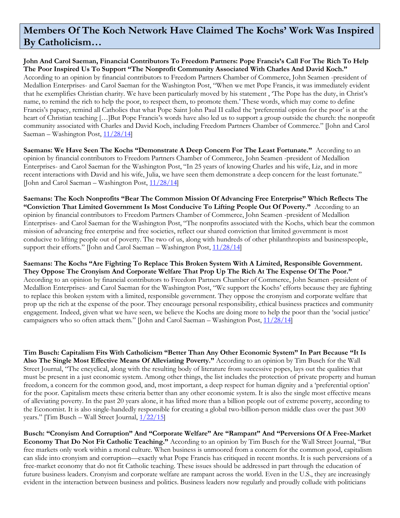# **Members Of The Koch Network Have Claimed The Kochs' Work Was Inspired By Catholicism…**

**John And Carol Saeman, Financial Contributors To Freedom Partners: Pope Francis's Call For The Rich To Help The Poor Inspired Us To Support "The Nonprofit Community Associated With Charles And David Koch."**  According to an opinion by financial contributors to Freedom Partners Chamber of Commerce, John Seamen -president of Medallion Enterprises- and Carol Saeman for the Washington Post, "When we met Pope Francis, it was immediately evident that he exemplifies Christian charity. We have been particularly moved by his statement , 'The Pope has the duty, in Christ's name, to remind the rich to help the poor, to respect them, to promote them.' These words, which may come to define Francis's papacy, remind all Catholics that what Pope Saint John Paul II called the 'preferential option for the poor' is at the heart of Christian teaching […]But Pope Francis's words have also led us to support a group outside the church: the nonprofit community associated with Charles and David Koch, including Freedom Partners Chamber of Commerce." [John and Carol Saeman – Washington Post,  $\frac{11}{28}/14$ ]

**Saemans: We Have Seen The Kochs "Demonstrate A Deep Concern For The Least Fortunate."** According to an opinion by financial contributors to Freedom Partners Chamber of Commerce, John Seamen -president of Medallion Enterprises- and Carol Saeman for the Washington Post, "In 25 years of knowing Charles and his wife, Liz, and in more recent interactions with David and his wife, Julia, we have seen them demonstrate a deep concern for the least fortunate." [John and Carol Saeman – Washington Post[, 11/28/14\]](http://www.washingtonpost.com/opinions/pope-francis-the-kochs-and-how-the-wealthy-can-help-the-poor/2014/11/28/958fbac2-770a-11e4-a755-e32227229e7b_story.html)

**Saemans: The Koch Nonprofits "Bear The Common Mission Of Advancing Free Enterprise" Which Reflects The "Conviction That Limited Government Is Most Conducive To Lifting People Out Of Poverty."** According to an opinion by financial contributors to Freedom Partners Chamber of Commerce, John Seamen -president of Medallion Enterprises- and Carol Saeman for the Washington Post, "The nonprofits associated with the Kochs, which bear the common mission of advancing free enterprise and free societies, reflect our shared conviction that limited government is most conducive to lifting people out of poverty. The two of us, along with hundreds of other philanthropists and businesspeople, support their efforts." [John and Carol Saeman – Washington Post,  $11/28/14$ ]

**Saemans: The Kochs "Are Fighting To Replace This Broken System With A Limited, Responsible Government. They Oppose The Cronyism And Corporate Welfare That Prop Up The Rich At The Expense Of The Poor."**  According to an opinion by financial contributors to Freedom Partners Chamber of Commerce, John Seamen -president of Medallion Enterprises- and Carol Saeman for the Washington Post, "We support the Kochs' efforts because they are fighting to replace this broken system with a limited, responsible government. They oppose the cronyism and corporate welfare that prop up the rich at the expense of the poor. They encourage personal responsibility, ethical business practices and community engagement. Indeed, given what we have seen, we believe the Kochs are doing more to help the poor than the 'social justice' campaigners who so often attack them." [John and Carol Saeman – Washington Post,  $\frac{11}{28}/14$ ]

**Tim Busch: Capitalism Fits With Catholicism "Better Than Any Other Economic System" In Part Because "It Is Also The Single Most Effective Means Of Alleviating Poverty."** According to an opinion by Tim Busch for the Wall Street Journal, "The encyclical, along with the resulting body of literature from successive popes, lays out the qualities that must be present in a just economic system. Among other things, the list includes the protection of private property and human freedom, a concern for the common good, and, most important, a deep respect for human dignity and a 'preferential option' for the poor. Capitalism meets these criteria better than any other economic system. It is also the single most effective means of alleviating poverty. In the past 20 years alone, it has lifted more than a billion people out of extreme poverty, according to the Economist. It is also single-handedly responsible for creating a global two-billion-person middle class over the past 300 years." [Tim Busch – Wall Street Journal,  $1/22/15$ ]

**Busch: "Cronyism And Corruption" And "Corporate Welfare" Are "Rampant" And "Perversions Of A Free-Market Economy That Do Not Fit Catholic Teaching."** According to an opinion by Tim Busch for the Wall Street Journal, "But free markets only work within a moral culture. When business is unmoored from a concern for the common good, capitalism can slide into cronyism and corruption—exactly what Pope Francis has critiqued in recent months. It is such perversions of a free-market economy that do not fit Catholic teaching. These issues should be addressed in part through the education of future business leaders. Cronyism and corporate welfare are rampant across the world. Even in the U.S., they are increasingly evident in the interaction between business and politics. Business leaders now regularly and proudly collude with politicians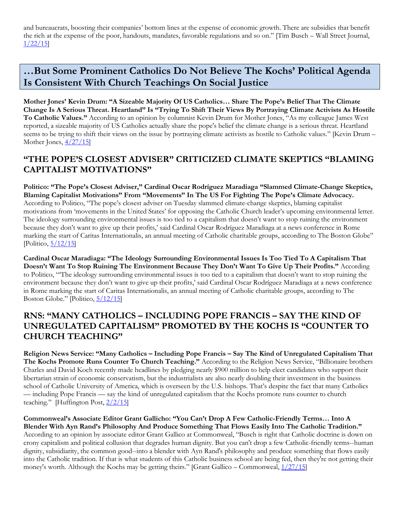and bureaucrats, boosting their companies' bottom lines at the expense of economic growth. There are subsidies that benefit the rich at the expense of the poor, handouts, mandates, favorable regulations and so on." [Tim Busch – Wall Street Journal, [1/22/15\]](http://www.wsj.com/articles/tim-busch-teaching-capitalism-to-catholics-1421970676)

# **…But Some Prominent Catholics Do Not Believe The Kochs' Political Agenda Is Consistent With Church Teachings On Social Justice**

**Mother Jones' Kevin Drum: "A Sizeable Majority Of US Catholics… Share The Pope's Belief That The Climate Change Is A Serious Threat. Heartland" Is "Trying To Shift Their Views By Portraying Climate Activists As Hostile To Catholic Values."** According to an opinion by columnist Kevin Drum for Mother Jones, "As my colleague James West reported, a sizeable majority of US Catholics actually share the pope's belief the climate change is a serious threat. Heartland seems to be trying to shift their views on the issue by portraying climate activists as hostile to Catholic values." [Kevin Drum – Mother Jones,  $\frac{4}{27}{15}$ 

## **"THE POPE'S CLOSEST ADVISER" CRITICIZED CLIMATE SKEPTICS "BLAMING CAPITALIST MOTIVATIONS"**

**Politico: "The Pope's Closest Adviser," Cardinal Oscar Rodríguez Maradiaga "Slammed Climate-Change Skeptics, Blaming Capitalist Motivations" From "Movements" In The US For Fighting The Pope's Climate Advocacy.**  According to Politico, "The pope's closest adviser on Tuesday slammed climate-change skeptics, blaming capitalist motivations from 'movements in the United States' for opposing the Catholic Church leader's upcoming environmental letter. The ideology surrounding environmental issues is too tied to a capitalism that doesn't want to stop ruining the environment because they don't want to give up their profits,' said Cardinal Oscar Rodríguez Maradiaga at a news conference in Rome marking the start of Caritas Internationalis, an annual meeting of Catholic charitable groups, according to The Boston Globe" [Politico,  $\frac{5}{12}{15}$ ]

**Cardinal Oscar Maradiaga: "The Ideology Surrounding Environmental Issues Is Too Tied To A Capitalism That Doesn't Want To Stop Ruining The Environment Because They Don't Want To Give Up Their Profits."** According to Politico, "'The ideology surrounding environmental issues is too tied to a capitalism that doesn't want to stop ruining the environment because they don't want to give up their profits,' said Cardinal Oscar Rodríguez Maradiaga at a news conference in Rome marking the start of Caritas Internationalis, an annual meeting of Catholic charitable groups, according to The Boston Globe." [Politico,  $\frac{5}{12/15}$ ]

## **RNS: "MANY CATHOLICS – INCLUDING POPE FRANCIS – SAY THE KIND OF UNREGULATED CAPITALISM" PROMOTED BY THE KOCHS IS "COUNTER TO CHURCH TEACHING"**

**Religion News Service: "Many Catholics – Including Pope Francis – Say The Kind of Unregulated Capitalism That The Kochs Promote Runs Counter To Church Teaching."** According to the Religion News Service, "Billionaire brothers Charles and David Koch recently made headlines by pledging nearly \$900 million to help elect candidates who support their libertarian strain of economic conservatism, but the industrialists are also nearly doubling their investment in the business school of Catholic University of America, which is overseen by the U.S. bishops. That's despite the fact that many Catholics — including Pope Francis — say the kind of unregulated capitalism that the Kochs promote runs counter to church teaching." [Huffington Post,  $\frac{2}{215}$ ]

**Commonweal's Associate Editor Grant Gallicho: "You Can't Drop A Few Catholic-Friendly Terms… Into A Blender With Ayn Rand's Philosophy And Produce Something That Flows Easily Into The Catholic Tradition."**  According to an opinion by associate editor Grant Gallico at Commonweal, "Busch is right that Catholic doctrine is down on crony capitalism and political collusion that degrades human dignity. But you can't drop a few Catholic-friendly terms--human dignity, subsidiarity, the common good--into a blender with Ayn Rand's philosophy and produce something that flows easily into the Catholic tradition. If that is what students of this Catholic business school are being fed, then they're not getting their money's worth. Although the Kochs may be getting theirs." [Grant Gallico – Commonweal,  $\frac{1}{27}/15$ ]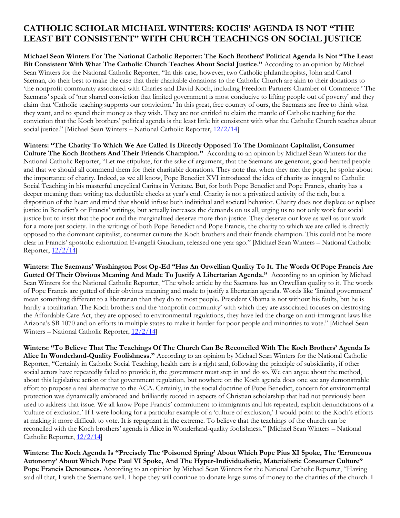# **CATHOLIC SCHOLAR MICHAEL WINTERS: KOCHS' AGENDA IS NOT "THE LEAST BIT CONSISTENT" WITH CHURCH TEACHINGS ON SOCIAL JUSTICE**

**Michael Sean Winters For The National Catholic Reporter: The Koch Brothers' Political Agenda Is Not "The Least Bit Consistent With What The Catholic Church Teaches About Social Justice."** According to an opinion by Michael Sean Winters for the National Catholic Reporter, "In this case, however, two Catholic philanthropists, John and Carol Saeman, do their best to make the case that their charitable donations to the Catholic Church are akin to their donations to 'the nonprofit community associated with Charles and David Koch, including Freedom Partners Chamber of Commerce.' The Saemans' speak of 'our shared conviction that limited government is most conducive to lifting people out of poverty' and they claim that 'Catholic teaching supports our conviction.' In this great, free country of ours, the Saemans are free to think what they want, and to spend their money as they wish. They are not entitled to claim the mantle of Catholic teaching for the conviction that the Koch brothers' political agenda is the least little bit consistent with what the Catholic Church teaches about social justice." [Michael Sean Winters – National Catholic Reporter, [12/2/14\]](http://ncronline.org/blogs/distinctly-catholic/pope-and-koch-brothers)

**Winters: "The Charity To Which We Are Called Is Directly Opposed To The Dominant Capitalist, Consumer Culture The Koch Brothers And Their Friends Champion."** According to an opinion by Michael Sean Winters for the National Catholic Reporter, "Let me stipulate, for the sake of argument, that the Saemans are generous, good-hearted people and that we should all commend them for their charitable donations. They note that when they met the pope, he spoke about the importance of charity. Indeed, as we all know, Pope Benedict XVI introduced the idea of charity as integral to Catholic Social Teaching in his masterful encyclical Caritas in Veritate. But, for both Pope Benedict and Pope Francis, charity has a deeper meaning than writing tax deductible checks at year's end. Charity is not a privatized activity of the rich, but a disposition of the heart and mind that should infuse both individual and societal behavior. Charity does not displace or replace justice in Benedict's or Francis' writings, but actually increases the demands on us all, urging us to not only work for social justice but to insist that the poor and the marginalized deserve more than justice. They deserve our love as well as our work for a more just society. In the writings of both Pope Benedict and Pope Francis, the charity to which we are called is directly opposed to the dominant capitalist, consumer culture the Koch brothers and their friends champion. This could not be more clear in Francis' apostolic exhortation Evangelii Gaudium, released one year ago." [Michael Sean Winters – National Catholic Reporter, [12/2/14\]](http://ncronline.org/blogs/distinctly-catholic/pope-and-koch-brothers)

**Winters: The Saemans' Washington Post Op-Ed "Has An Orwellian Quality To It. The Words Of Pope Francis Are Gutted Of Their Obvious Meaning And Made To Justify A Libertarian Agenda."** According to an opinion by Michael Sean Winters for the National Catholic Reporter, "The whole article by the Saemans has an Orwellian quality to it. The words of Pope Francis are gutted of their obvious meaning and made to justify a libertarian agenda. Words like 'limited government' mean something different to a libertarian than they do to most people. President Obama is not without his faults, but he is hardly a totalitarian. The Koch brothers and the 'nonprofit community' with which they are associated focuses on destroying the Affordable Care Act, they are opposed to environmental regulations, they have led the charge on anti-immigrant laws like Arizona's SB 1070 and on efforts in multiple states to make it harder for poor people and minorities to vote." [Michael Sean Winters – National Catholic Reporter,  $\frac{12}{214}$ 

**Winters: "To Believe That The Teachings Of The Church Can Be Reconciled With The Koch Brothers' Agenda Is Alice In Wonderland-Quality Foolishness."** According to an opinion by Michael Sean Winters for the National Catholic Reporter, "Certainly in Catholic Social Teaching, health care is a right and, following the principle of subsidiarity, if other social actors have repeatedly failed to provide it, the government must step in and do so. We can argue about the method, about this legislative action or that government regulation, but nowhere on the Koch agenda does one see any demonstrable effort to propose a real alternative to the ACA. Certainly, in the social doctrine of Pope Benedict, concern for environmental protection was dynamically embraced and brilliantly rooted in aspects of Christian scholarship that had not previously been used to address that issue. We all know Pope Francis' commitment to immigrants and his repeated, explicit denunciations of a 'culture of exclusion.' If I were looking for a particular example of a 'culture of exclusion,' I would point to the Koch's efforts at making it more difficult to vote. It is repugnant in the extreme. To believe that the teachings of the church can be reconciled with the Koch brothers' agenda is Alice in Wonderland-quality foolishness." [Michael Sean Winters – National Catholic Reporter,  $\frac{12}{214}$ 

**Winters: The Koch Agenda Is "Precisely The 'Poisoned Spring' About Which Pope Pius XI Spoke, The 'Erroneous Autonomy' About Which Pope Paul VI Spoke, And The Hyper-Individualistic, Materialistic Consumer Culture" Pope Francis Denounces.** According to an opinion by Michael Sean Winters for the National Catholic Reporter, "Having said all that, I wish the Saemans well. I hope they will continue to donate large sums of money to the charities of the church. I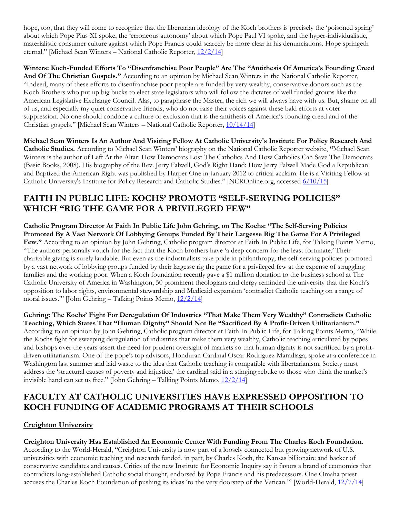hope, too, that they will come to recognize that the libertarian ideology of the Koch brothers is precisely the 'poisoned spring' about which Pope Pius XI spoke, the 'erroneous autonomy' about which Pope Paul VI spoke, and the hyper-individualistic, materialistic consumer culture against which Pope Francis could scarcely be more clear in his denunciations. Hope springeth eternal." [Michael Sean Winters – National Catholic Reporter, [12/2/14\]](http://ncronline.org/blogs/distinctly-catholic/pope-and-koch-brothers)

**Winters: Koch-Funded Efforts To "Disenfranchise Poor People" Are The "Antithesis Of America's Founding Creed And Of The Christian Gospels."** According to an opinion by Michael Sean Winters in the National Catholic Reporter, "Indeed, many of these efforts to disenfranchise poor people are funded by very wealthy, conservative donors such as the Koch Brothers who put up big bucks to elect state legislators who will follow the dictates of well funded groups like the American Legislative Exchange Council. Alas, to paraphrase the Master, the rich we will always have with us. But, shame on all of us, and especially my quiet conservative friends, who do not raise their voices against these bald efforts at voter suppression. No one should condone a culture of exclusion that is the antithesis of America's founding creed and of the Christian gospels." [Michael Sean Winters – National Catholic Reporter, [10/14/14\]](http://ncronline.org/blogs/distinctly-catholic/voter-suppression-culture-exclusion)

**Michael Sean Winters Is An Author And Visiting Fellow At Catholic University's Institute For Policy Research And Catholic Studies.** According to Michael Sean Winters' biography on the National Catholic Reporter website, **"**Michael Sean Winters is the author of Left At the Altar: How Democrats Lost The Catholics And How Catholics Can Save The Democrats (Basic Books, 2008). His biography of the Rev. Jerry Falwell, God's Right Hand: How Jerry Falwell Made God a Republican and Baptized the American Right was published by Harper One in January 2012 to critical acclaim. He is a Visiting Fellow at Catholic University's Institute for Policy Research and Catholic Studies." [NCROnline.org, accessed [6/10/15\]](http://ncronline.org/authors/michael-sean-winters)

## **FAITH IN PUBLIC LIFE: KOCHS' PROMOTE "SELF-SERVING POLICIES" WHICH "RIG THE GAME FOR A PRIVILEGED FEW"**

**Catholic Program Director At Faith In Public Life John Gehring, on The Kochs: "The Self-Serving Policies Promoted By A Vast Network Of Lobbying Groups Funded By Their Largesse Rig The Game For A Privileged Few."** According to an opinion by John Gehring, Catholic program director at Faith In Public Life, for Talking Points Memo, "The authors personally vouch for the fact that the Koch brothers have 'a deep concern for the least fortunate.' Their charitable giving is surely laudable. But even as the industrialists take pride in philanthropy, the self-serving policies promoted by a vast network of lobbying groups funded by their largesse rig the game for a privileged few at the expense of struggling families and the working poor. When a Koch foundation recently gave a \$1 million donation to the business school at The Catholic University of America in Washington, 50 prominent theologians and clergy reminded the university that the Koch's opposition to labor rights, environmental stewardship and Medicaid expansion 'contradict Catholic teaching on a range of moral issues." [John Gehring – Talking Points Memo,  $\frac{12}{214}$ ]

**Gehring: The Kochs' Fight For Deregulation Of Industries "That Make Them Very Wealthy" Contradicts Catholic Teaching, Which States That "Human Dignity" Should Not Be "Sacrificed By A Profit-Driven Utilitarianism."**  According to an opinion by John Gehring, Catholic program director at Faith In Public Life, for Talking Points Memo, "While the Kochs fight for sweeping deregulation of industries that make them very wealthy, Catholic teaching articulated by popes and bishops over the years assert the need for prudent oversight of markets so that human dignity is not sacrificed by a profitdriven utilitarianism. One of the pope's top advisors, Honduran Cardinal Oscar Rodriguez Maradiaga, spoke at a conference in Washington last summer and laid waste to the idea that Catholic teaching is compatible with libertarianism. Society must address the 'structural causes of poverty and injustice,' the cardinal said in a stinging rebuke to those who think the market's invisible hand can set us free." [John Gehring – Talking Points Memo[, 12/2/14\]](http://talkingpointsmemo.com/cafe/koch-brothers-pope-francis)

## **FACULTY AT CATHOLIC UNIVERSITIES HAVE EXPRESSED OPPOSITION TO KOCH FUNDING OF ACADEMIC PROGRAMS AT THEIR SCHOOLS**

## **Creighton University**

**Creighton University Has Established An Economic Center With Funding From The Charles Koch Foundation.**  According to the World-Herald, "Creighton University is now part of a loosely connected but growing network of U.S. universities with economic teaching and research funded, in part, by Charles Koch, the Kansas billionaire and backer of conservative candidates and causes. Critics of the new Institute for Economic Inquiry say it favors a brand of economics that contradicts long-established Catholic social thought, endorsed by Pope Francis and his predecessors. One Omaha priest accuses the Charles Koch Foundation of pushing its ideas 'to the very doorstep of the Vatican.'" [World-Herald, [12/7/14\]](http://www.omaha.com/money/of-two-minds-on-economics-does-teaching-at-creighton-institute/article_e6a8e72e-130c-5c49-a257-a32f55530905.html)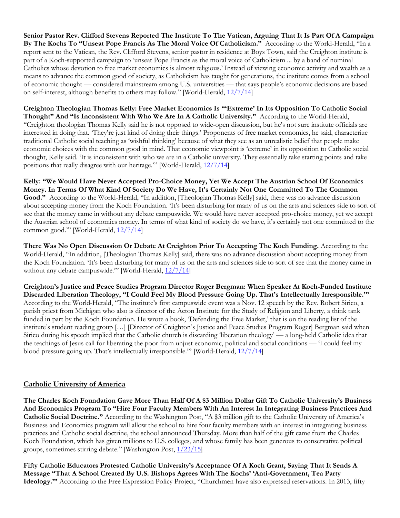**Senior Pastor Rev. Clifford Stevens Reported The Institute To The Vatican, Arguing That It Is Part Of A Campaign By The Kochs To "Unseat Pope Francis As The Moral Voice Of Catholicism."** According to the World-Herald, "In a report sent to the Vatican, the Rev. Clifford Stevens, senior pastor in residence at Boys Town, said the Creighton institute is part of a Koch-supported campaign to 'unseat Pope Francis as the moral voice of Catholicism ... by a band of nominal Catholics whose devotion to free market economics is almost religious.' Instead of viewing economic activity and wealth as a means to advance the common good of society, as Catholicism has taught for generations, the institute comes from a school of economic thought — considered mainstream among U.S. universities — that says people's economic decisions are based on self-interest, although benefits to others may follow." [World-Herald, [12/7/14\]](http://www.omaha.com/money/of-two-minds-on-economics-does-teaching-at-creighton-institute/article_e6a8e72e-130c-5c49-a257-a32f55530905.html)

**Creighton Theologian Thomas Kelly: Free Market Economics Is "'Extreme' In Its Opposition To Catholic Social Thought" And "Is Inconsistent With Who We Are In A Catholic University."** According to the World-Herald, "Creighton theologian Thomas Kelly said he is not opposed to wide-open discussion, but he's not sure institute officials are interested in doing that. 'They're just kind of doing their things.' Proponents of free market economics, he said, characterize traditional Catholic social teaching as 'wishful thinking' because of what they see as an unrealistic belief that people make economic choices with the common good in mind. That economic viewpoint is 'extreme' in its opposition to Catholic social thought, Kelly said. 'It is inconsistent with who we are in a Catholic university. They essentially take starting points and take positions that really disagree with our heritage.'" [World-Herald, [12/7/14\]](http://www.omaha.com/money/of-two-minds-on-economics-does-teaching-at-creighton-institute/article_e6a8e72e-130c-5c49-a257-a32f55530905.html)

**Kelly: "We Would Have Never Accepted Pro-Choice Money, Yet We Accept The Austrian School Of Economics Money. In Terms Of What Kind Of Society Do We Have, It's Certainly Not One Committed To The Common Good."** According to the World-Herald, "In addition, [Theologian Thomas Kelly] said, there was no advance discussion about accepting money from the Koch Foundation. 'It's been disturbing for many of us on the arts and sciences side to sort of see that the money came in without any debate campuswide. We would have never accepted pro-choice money, yet we accept the Austrian school of economics money. In terms of what kind of society do we have, it's certainly not one committed to the common good.'" [World-Herald, [12/7/14\]](http://www.omaha.com/money/of-two-minds-on-economics-does-teaching-at-creighton-institute/article_e6a8e72e-130c-5c49-a257-a32f55530905.html)

**There Was No Open Discussion Or Debate At Creighton Prior To Accepting The Koch Funding.** According to the World-Herald, "In addition, [Theologian Thomas Kelly] said, there was no advance discussion about accepting money from the Koch Foundation. 'It's been disturbing for many of us on the arts and sciences side to sort of see that the money came in without any debate campuswide." [World-Herald,  $12/7/14$ ]

**Creighton's Justice and Peace Studies Program Director Roger Bergman: When Speaker At Koch-Funded Institute Discarded Liberation Theology, "I Could Feel My Blood Pressure Going Up. That's Intellectually Irresponsible.'"**  According to the World-Herald, "The institute's first campuswide event was a Nov. 12 speech by the Rev. Robert Sirico, a parish priest from Michigan who also is director of the Acton Institute for the Study of Religion and Liberty, a think tank funded in part by the Koch Foundation. He wrote a book, 'Defending the Free Market,' that is on the reading list of the institute's student reading group […] [Director of Creighton's Justice and Peace Studies Program Roger] Bergman said when Sirico during his speech implied that the Catholic church is discarding 'liberation theology' — a long-held Catholic idea that the teachings of Jesus call for liberating the poor from unjust economic, political and social conditions — 'I could feel my blood pressure going up. That's intellectually irresponsible.'" [World-Herald, [12/7/14\]](http://www.omaha.com/money/of-two-minds-on-economics-does-teaching-at-creighton-institute/article_e6a8e72e-130c-5c49-a257-a32f55530905.html)

#### **Catholic University of America**

**The Charles Koch Foundation Gave More Than Half Of A \$3 Million Dollar Gift To Catholic University's Business And Economics Program To "Hire Four Faculty Members With An Interest In Integrating Business Practices And Catholic Social Doctrine."** According to the Washington Post, "A \$3 million gift to the Catholic University of America's Business and Economics program will allow the school to hire four faculty members with an interest in integrating business practices and Catholic social doctrine, the school announced Thursday. More than half of the gift came from the Charles Koch Foundation, which has given millions to U.S. colleges, and whose family has been generous to conservative political groups, sometimes stirring debate." [Washington Post, [1/23/15\]](http://www.washingtonpost.com/news/grade-point/wp/2015/01/23/catholic-university-gets-3-million-from-a-koch-foundation-and-others-to-teach-principled-entrepreneurship/)

**Fifty Catholic Educators Protested Catholic University's Acceptance Of A Koch Grant, Saying That It Sends A Message "That A School Created By U.S. Bishops Agrees With The Kochs' 'Anti-Government, Tea Party Ideology.'"** According to the Free Expression Policy Project, "Churchmen have also expressed reservations. In 2013, fifty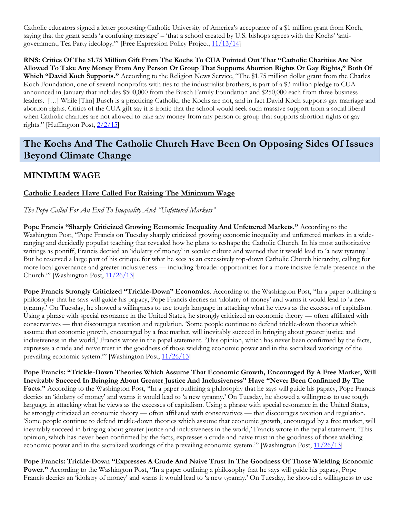Catholic educators signed a letter protesting Catholic University of America's acceptance of a \$1 million grant from Koch, saying that the grant sends 'a confusing message' – 'that a school created by U.S. bishops agrees with the Kochs' 'antigovernment, Tea Party ideology.'" [Free Expression Policy Project, [11/13/14\]](http://www.fepproject.org/news/KochFunding.html)

**RNS: Critics Of The \$1.75 Million Gift From The Kochs To CUA Pointed Out That "Catholic Charities Are Not Allowed To Take Any Money From Any Person Or Group That Supports Abortion Rights Or Gay Rights," Both Of Which "David Koch Supports."** According to the Religion News Service, "The \$1.75 million dollar grant from the Charles Koch Foundation, one of several nonprofits with ties to the industrialist brothers, is part of a \$3 million pledge to CUA announced in January that includes \$500,000 from the Busch Family Foundation and \$250,000 each from three business leaders. […] While [Tim] Busch is a practicing Catholic, the Kochs are not, and in fact David Koch supports gay marriage and abortion rights. Critics of the CUA gift say it is ironic that the school would seek such massive support from a social liberal when Catholic charities are not allowed to take any money from any person or group that supports abortion rights or gay rights." [Huffington Post, [2/2/15\]](http://www.huffingtonpost.com/2015/02/02/koch-brothers-catholic-university_n_6594834.html)

# **The Kochs And The Catholic Church Have Been On Opposing Sides Of Issues Beyond Climate Change**

## **MINIMUM WAGE**

## **Catholic Leaders Have Called For Raising The Minimum Wage**

*The Pope Called For An End To Inequality And "Unfettered Markets"* 

**Pope Francis "Sharply Criticized Growing Economic Inequality And Unfettered Markets."** According to the Washington Post, "Pope Francis on Tuesday sharply criticized growing economic inequality and unfettered markets in a wideranging and decidedly populist teaching that revealed how he plans to reshape the Catholic Church. In his most authoritative writings as pontiff, Francis decried an 'idolatry of money' in secular culture and warned that it would lead to 'a new tyranny.' But he reserved a large part of his critique for what he sees as an excessively top-down Catholic Church hierarchy, calling for more local governance and greater inclusiveness — including 'broader opportunities for a more incisive female presence in the Church."" [Washington Post,  $\frac{11}{26}{13}$ ]

**Pope Francis Strongly Criticized "Trickle-Down" Economics**. According to the Washington Post, "In a paper outlining a philosophy that he says will guide his papacy, Pope Francis decries an 'idolatry of money' and warns it would lead to 'a new tyranny.' On Tuesday, he showed a willingness to use tough language in attacking what he views as the excesses of capitalism. Using a phrase with special resonance in the United States, he strongly criticized an economic theory — often affiliated with conservatives — that discourages taxation and regulation. 'Some people continue to defend trickle-down theories which assume that economic growth, encouraged by a free market, will inevitably succeed in bringing about greater justice and inclusiveness in the world,' Francis wrote in the papal statement. 'This opinion, which has never been confirmed by the facts, expresses a crude and naive trust in the goodness of those wielding economic power and in the sacralized workings of the prevailing economic system.'" [Washington Post, [11/26/13\]](http://www.washingtonpost.com/business/economy/pope-francis-denounces-trickle-down-economic-theories-in-critique-of-inequality/2013/11/26/e17ffe4e-56b6-11e3-8304-caf30787c0a9_story.html)

**Pope Francis: "Trickle-Down Theories Which Assume That Economic Growth, Encouraged By A Free Market, Will Inevitably Succeed In Bringing About Greater Justice And Inclusiveness" Have "Never Been Confirmed By The Facts."** According to the Washington Post, "In a paper outlining a philosophy that he says will guide his papacy, Pope Francis decries an 'idolatry of money' and warns it would lead to 'a new tyranny.' On Tuesday, he showed a willingness to use tough language in attacking what he views as the excesses of capitalism. Using a phrase with special resonance in the United States, he strongly criticized an economic theory — often affiliated with conservatives — that discourages taxation and regulation. 'Some people continue to defend trickle-down theories which assume that economic growth, encouraged by a free market, will inevitably succeed in bringing about greater justice and inclusiveness in the world,' Francis wrote in the papal statement. 'This opinion, which has never been confirmed by the facts, expresses a crude and naive trust in the goodness of those wielding economic power and in the sacralized workings of the prevailing economic system." [Washington Post, [11/26/13\]](http://www.washingtonpost.com/business/economy/pope-francis-denounces-trickle-down-economic-theories-in-critique-of-inequality/2013/11/26/e17ffe4e-56b6-11e3-8304-caf30787c0a9_story.html)

**Pope Francis: Trickle-Down "Expresses A Crude And Naive Trust In The Goodness Of Those Wielding Economic Power."** According to the Washington Post, "In a paper outlining a philosophy that he says will guide his papacy, Pope Francis decries an 'idolatry of money' and warns it would lead to 'a new tyranny.' On Tuesday, he showed a willingness to use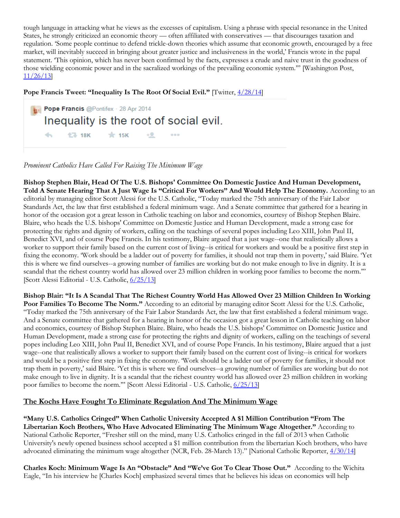tough language in attacking what he views as the excesses of capitalism. Using a phrase with special resonance in the United States, he strongly criticized an economic theory — often affiliated with conservatives — that discourages taxation and regulation. 'Some people continue to defend trickle-down theories which assume that economic growth, encouraged by a free market, will inevitably succeed in bringing about greater justice and inclusiveness in the world,' Francis wrote in the papal statement. 'This opinion, which has never been confirmed by the facts, expresses a crude and naive trust in the goodness of those wielding economic power and in the sacralized workings of the prevailing economic system.'" [Washington Post, [11/26/13\]](http://www.washingtonpost.com/business/economy/pope-francis-denounces-trickle-down-economic-theories-in-critique-of-inequality/2013/11/26/e17ffe4e-56b6-11e3-8304-caf30787c0a9_story.html)

**Pope Francis Tweet: "Inequality Is The Root Of Social Evil."** [Twitter,  $\frac{4/28/14}{1}$ ]



*Prominent Catholics Have Called For Raising The Minimum Wage* 

**Bishop Stephen Blair, Head Of The U.S. Bishops' Committee On Domestic Justice And Human Development, Told A Senate Hearing That A Just Wage Is "Critical For Workers" And Would Help The Economy.** According to an editorial by managing editor Scott Alessi for the U.S. Catholic, "Today marked the 75th anniversary of the Fair Labor Standards Act, the law that first established a federal minimum wage. And a Senate committee that gathered for a hearing in honor of the occasion got a great lesson in Catholic teaching on labor and economics, courtesy of Bishop Stephen Blaire. Blaire, who heads the U.S. bishops' Committee on Domestic Justice and Human Development, made a strong case for protecting the rights and dignity of workers, calling on the teachings of several popes including Leo XIII, John Paul II, Benedict XVI, and of course Pope Francis. In his testimony, Blaire argued that a just wage--one that realistically allows a worker to support their family based on the current cost of living--is critical for workers and would be a positive first step in fixing the economy. 'Work should be a ladder out of poverty for families, it should not trap them in poverty,' said Blaire. 'Yet this is where we find ourselves--a growing number of families are working but do not make enough to live in dignity. It is a scandal that the richest country world has allowed over 23 million children in working poor families to become the norm.'" [Scott Alessi Editorial - U.S. Catholic, [6/25/13\]](http://www.uscatholic.org/blog/201306/catholic-case-raising-minimum-wage-27483)

**Bishop Blair: "It Is A Scandal That The Richest Country World Has Allowed Over 23 Million Children In Working Poor Families To Become The Norm."** According to an editorial by managing editor Scott Alessi for the U.S. Catholic, "Today marked the 75th anniversary of the Fair Labor Standards Act, the law that first established a federal minimum wage. And a Senate committee that gathered for a hearing in honor of the occasion got a great lesson in Catholic teaching on labor and economics, courtesy of Bishop Stephen Blaire. Blaire, who heads the U.S. bishops' Committee on Domestic Justice and Human Development, made a strong case for protecting the rights and dignity of workers, calling on the teachings of several popes including Leo XIII, John Paul II, Benedict XVI, and of course Pope Francis. In his testimony, Blaire argued that a just wage--one that realistically allows a worker to support their family based on the current cost of living--is critical for workers and would be a positive first step in fixing the economy. 'Work should be a ladder out of poverty for families, it should not trap them in poverty,' said Blaire. 'Yet this is where we find ourselves--a growing number of families are working but do not make enough to live in dignity. It is a scandal that the richest country world has allowed over 23 million children in working poor families to become the norm.'" [Scott Alessi Editorial - U.S. Catholic, [6/25/13\]](http://www.uscatholic.org/blog/201306/catholic-case-raising-minimum-wage-27483)

#### **The Kochs Have Fought To Eliminate Regulation And The Minimum Wage**

**"Many U.S. Catholics Cringed" When Catholic University Accepted A \$1 Million Contribution "From The Libertarian Koch Brothers, Who Have Advocated Eliminating The Minimum Wage Altogether."** According to National Catholic Reporter, "Fresher still on the mind, many U.S. Catholics cringed in the fall of 2013 when Catholic University's newly opened business school accepted a \$1 million contribution from the libertarian Koch brothers, who have advocated eliminating the minimum wage altogether (NCR, Feb. 28-March 13)." [National Catholic Reporter, [4/30/14\]](http://ncronline.org/news/politics/minimum-wage-hike-just-baby-step)

**Charles Koch: Minimum Wage Is An "Obstacle" And "We've Got To Clear Those Out."** According to the Wichita Eagle, "In his interview he [Charles Koch] emphasized several times that he believes his ideas on economics will help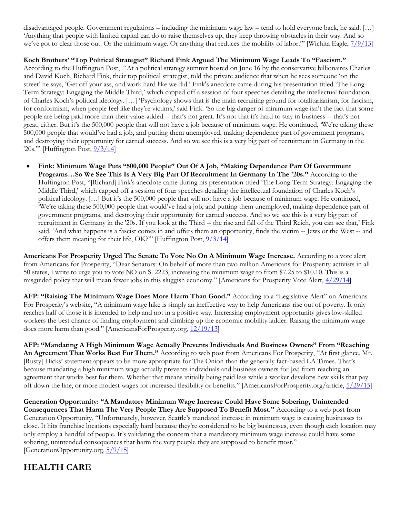disadvantaged people. Government regulations – including the minimum wage law – tend to hold everyone back, he said. […] 'Anything that people with limited capital can do to raise themselves up, they keep throwing obstacles in their way. And so we've got to clear those out. Or the minimum wage. Or anything that reduces the mobility of labor." [Wichita Eagle,  $7/9/13$ ]

#### **Koch Brothers' "Top Political Strategist" Richard Fink Argued The Minimum Wage Leads To "Fascism."**

According to the Huffington Post, "At a political strategy summit hosted on June 16 by the conservative billionaires Charles and David Koch, Richard Fink, their top political strategist, told the private audience that when he sees someone 'on the street' he says, 'Get off your ass, and work hard like we did.' Fink's anecdote came during his presentation titled 'The Long-Term Strategy: Engaging the Middle Third,' which capped off a session of four speeches detailing the intellectual foundation of Charles Koch's political ideology. […] 'Psychology shows that is the main recruiting ground for totalitarianism, for fascism, for conformism, when people feel like they're victims,' said Fink. 'So the big danger of minimum wage isn't the fact that some people are being paid more than their value-added -- that's not great. It's not that it's hard to stay in business -- that's not great, either. But it's the 500,000 people that will not have a job because of minimum wage. He continued, 'We're taking these 500,000 people that would've had a job, and putting them unemployed, making dependence part of government programs, and destroying their opportunity for earned success. And so we see this is a very big part of recruitment in Germany in the '20s.'" [Huffington Post, [9/3/14\]](http://www.huffingtonpost.com/2014/09/03/koch-brothers-recording_n_5757592.html)

 **Fink: Minimum Wage Puts "500,000 People" Out Of A Job, "Making Dependence Part Of Government Programs…So We See This Is A Very Big Part Of Recruitment In Germany In The '20s."** According to the Huffington Post, "[Richard] Fink's anecdote came during his presentation titled 'The Long-Term Strategy: Engaging the Middle Third,' which capped off a session of four speeches detailing the intellectual foundation of Charles Koch's political ideology. […] But it's the 500,000 people that will not have a job because of minimum wage. He continued, 'We're taking these 500,000 people that would've had a job, and putting them unemployed, making dependence part of government programs, and destroying their opportunity for earned success. And so we see this is a very big part of recruitment in Germany in the '20s. If you look at the Third -- the rise and fall of the Third Reich, you can see that,' Fink said. 'And what happens is a fascist comes in and offers them an opportunity, finds the victim -- Jews or the West -- and offers them meaning for their life, OK?"" [Huffington Post,  $\frac{9}{3/14}$ ]

**Americans For Prosperity Urged The Senate To Vote No On A Minimum Wage Increase.** According to a vote alert from Americans for Prosperity, "Dear Senators: On behalf of more than two million Americans for Prosperity activists in all 50 states, I write to urge you to vote NO on S. 2223, increasing the minimum wage to from \$7.25 to \$10.10. This is a misguided policy that will mean fewer jobs in this sluggish economy." [Americans for Prosperity Vote Alert,  $4/29/14$ ]

**AFP: "Raising The Minimum Wage Does More Harm Than Good."** According to a "Legislative Alert" on Americans For Prosperity's website, "A minimum wage hike is simply an ineffective way to help Americans rise out of poverty. It only reaches half of those it is intended to help and not in a positive way. Increasing employment opportunity gives low-skilled workers the best chance of finding employment and climbing up the economic mobility ladder. Raising the minimum wage does more harm than good." [AmericansForProsperity.org, [12/19/13\]](http://americansforprosperity.org/legislativealerts/minimum-wage-more-harm-than-good)

**AFP: "Mandating A High Minimum Wage Actually Prevents Individuals And Business Owners" From "Reaching An Agreement That Works Best For Them."** According to web post from Americans For Prosperity, "At first glance, Mr. [Rusty] Hicks' statement appears to be more appropriate for The Onion than the generally fact-based LA Times. That's because mandating a high minimum wage actually prevents individuals and business owners for [*sic*] from reaching an agreement that works best for them. Whether that means initially being paid less while a worker develops new skills that pay off down the line, or more modest wages for increased flexibility or benefits." [AmericansForProsperity.org/article, [5/29/15\]](http://americansforprosperity.org/article/mandates-for-thee-but-not-for-me)

**Generation Opportunity: "A Mandatory Minimum Wage Increase Could Have Some Sobering, Unintended Consequences That Harm The Very People They Are Supposed To Benefit Most."** According to a web post from Generation Opportunity, "Unfortunately, however, Seattle's mandated increase in minimum wage is causing businesses to close. It hits franchise locations especially hard because they're considered to be big businesses, even though each location may only employ a handful of people. It's validating the concern that a mandatory minimum wage increase could have some sobering, unintended consequences that harm the very people they are supposed to benefit most." [GenerationOpportunity.org,  $\frac{5}{9/15}$ ]

## **HEALTH CARE**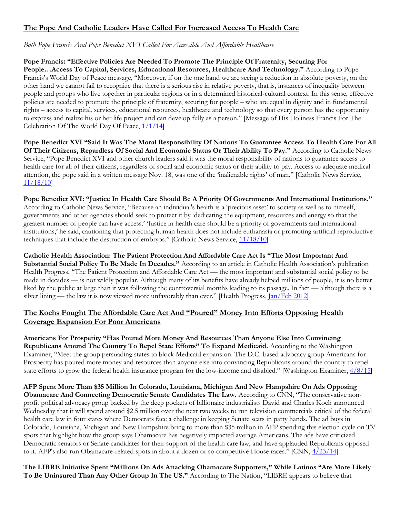## **The Pope And Catholic Leaders Have Called For Increased Access To Health Care**

*Both Pope Francis And Pope Benedict XVI Called For Accessible And Affordable Healthcare* 

**Pope Francis: "Effective Policies Are Needed To Promote The Principle Of Fraternity, Securing For People…Access To Capital, Services, Educational Resources, Healthcare And Technology."** According to Pope Francis's World Day of Peace message, "Moreover, if on the one hand we are seeing a reduction in absolute poverty, on the other hand we cannot fail to recognize that there is a serious rise in relative poverty, that is, instances of inequality between people and groups who live together in particular regions or in a determined historical-cultural context. In this sense, effective policies are needed to promote the principle of fraternity, securing for people – who are equal in dignity and in fundamental rights – access to capital, services, educational resources, healthcare and technology so that every person has the opportunity to express and realize his or her life project and can develop fully as a person." [Message of His Holiness Francis For The Celebration Of The World Day Of Peace,  $1/1/14$ ]

**Pope Benedict XVI "Said It Was The Moral Responsibility Of Nations To Guarantee Access To Health Care For All Of Their Citizens, Regardless Of Social And Economic Status Or Their Ability To Pay."** According to Catholic News Service, "Pope Benedict XVI and other church leaders said it was the moral responsibility of nations to guarantee access to health care for all of their citizens, regardless of social and economic status or their ability to pay. Access to adequate medical attention, the pope said in a written message Nov. 18, was one of the 'inalienable rights' of man." [Catholic News Service, [11/18/10\]](http://www.catholicnews.com/data/stories/cns/1004736.htm)

**Pope Benedict XVI: "Justice In Health Care Should Be A Priority Of Governments And International Institutions."** According to Catholic News Service, "Because an individual's health is a 'precious asset' to society as well as to himself, governments and other agencies should seek to protect it by 'dedicating the equipment, resources and energy so that the greatest number of people can have access.' 'Justice in health care should be a priority of governments and international institutions,' he said, cautioning that protecting human health does not include euthanasia or promoting artificial reproductive techniques that include the destruction of embryos." [Catholic News Service,  $11/18/10$ ]

**Catholic Health Association: The Patient Protection And Affordable Care Act Is "The Most Important And Substantial Social Policy To Be Made In Decades."** According to an article in Catholic Health Association's publication Health Progress, "The Patient Protection and Affordable Care Act — the most important and substantial social policy to be made in decades — is not wildly popular. Although many of its benefits have already helped millions of people, it is no better liked by the public at large than it was following the controversial months leading to its passage. In fact — although there is a silver lining — the law it is now viewed more unfavorably than ever." [Health Progress, [Jan/Feb 2012\]](https://www.chausa.org/publications/health-progress/article/january-february-2012/health-reform-update---the-facts-speak-volumes-moving-people-to-support-the-affordable-care-act)

#### **The Kochs Fought The Affordable Care Act And "Poured" Money Into Efforts Opposing Health Coverage Expansion For Poor Americans**

**Americans For Prosperity "Has Poured More Money And Resources Than Anyone Else Into Convincing Republicans Around The Country To Repel State Efforts" To Expand Medicaid.** According to the Washington Examiner, "Meet the group persuading states to block Medicaid expansion. The D.C.-based advocacy group Americans for Prosperity has poured more money and resources than anyone else into convincing Republicans around the country to repel state efforts to grow the federal health insurance program for the low-income and disabled." [Washington Examiner,  $\frac{4}{8}/15$ ]

**AFP Spent More Than \$35 Million In Colorado, Louisiana, Michigan And New Hampshire On Ads Opposing Obamacare And Connecting Democratic Senate Candidates The Law.** According to CNN, "The conservative nonprofit political advocacy group backed by the deep pockets of billionaire industrialists David and Charles Koch announced Wednesday that it will spend around \$2.5 million over the next two weeks to run television commercials critical of the federal health care law in four states where Democrats face a challenge in keeping Senate seats in party hands. The ad buys in Colorado, Louisiana, Michigan and New Hampshire bring to more than \$35 million in AFP spending this election cycle on TV spots that highlight how the group says Obamacare has negatively impacted average Americans. The ads have criticized Democratic senators or Senate candidates for their support of the health care law, and have applauded Republicans opposed to it. AFP's also run Obamacare-related spots in about a dozen or so competitive House races." [CNN,  $\frac{4}{23/14}$ ]

**The LIBRE Initiative Spent "Millions On Ads Attacking Obamacare Supporters," While Latinos "Are More Likely To Be Uninsured Than Any Other Group In The US."** According to The Nation, "LIBRE appears to believe that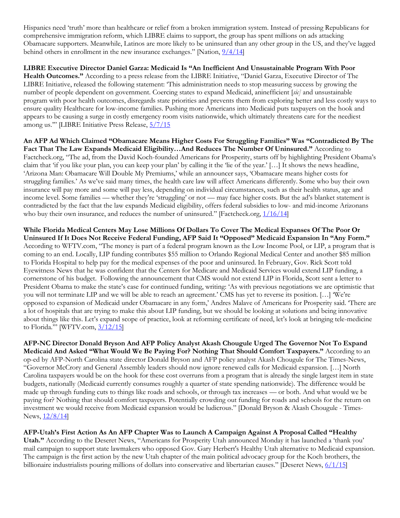Hispanics need 'truth' more than healthcare or relief from a broken immigration system. Instead of pressing Republicans for comprehensive immigration reform, which LIBRE claims to support, the group has spent millions on ads attacking Obamacare supporters. Meanwhile, Latinos are more likely to be uninsured than any other group in the US, and they've lagged behind others in enrollment in the new insurance exchanges." [Nation,  $\frac{9}{4}$ ]

**LIBRE Executive Director Daniel Garza: Medicaid Is "An Inefficient And Unsustainable Program With Poor Health Outcomes."** According to a press release from the LIBRE Initiative, "Daniel Garza, Executive Director of The LIBRE Initiative, released the following statement: 'This administration needs to stop measuring success by growing the number of people dependent on government. Coercing states to expand Medicaid, aninefficient [*sic]* and unsustainable program with poor health outcomes, disregards state priorities and prevents them from exploring better and less costly ways to ensure quality Healthcare for low-income families. Pushing more Americans into Medicaid puts taxpayers on the hook and appears to be causing a surge in costly emergency room visits nationwide, which ultimately threatens care for the neediest among us.'" [LIBRE Initiative Press Release, [5/7/15](http://thelibreinitiative.com/press/expansion-medicaid-does-not-fit-all-states?page=8)

**An AFP Ad Which Claimed "Obamacare Means Higher Costs For Struggling Families" Was "Contradicted By The Fact That The Law Expands Medicaid Eligibility…And Reduces The Number Of Uninsured."** According to Factcheck.org, "The ad, from the David Koch-founded Americans for Prosperity, starts off by highlighting President Obama's claim that 'if you like your plan, you can keep your plan' by calling it the 'lie of the year.' […] It shows the news headline, 'Arizona Man: Obamacare Will Double My Premiums,' while an announcer says, 'Obamacare means higher costs for struggling families.' As we've said many times, the health care law will affect Americans differently. Some who buy their own insurance will pay more and some will pay less, depending on individual circumstances, such as their health status, age and income level. Some families — whether they're 'struggling' or not — may face higher costs. But the ad's blanket statement is contradicted by the fact that the law expands Medicaid eligibility, offers federal subsidies to low- and mid-income Arizonans who buy their own insurance, and reduces the number of uninsured." [Factcheck.org,  $1/16/14$ ]

**While Florida Medical Centers May Lose Millions Of Dollars To Cover The Medical Expanses Of The Poor Or Uninsured If It Does Not Receive Federal Funding, AFP Said It "Opposed" Medicaid Expansion In "Any Form."**  According to WFTV.com, "The money is part of a federal program known as the Low Income Pool, or LIP, a program that is coming to an end. Locally, LIP funding contributes \$55 million to Orlando Regional Medical Center and another \$85 million to Florida Hospital to help pay for the medical expenses of the poor and uninsured. In February, Gov. Rick Scott told Eyewitness News that he was confident that the Centers for Medicare and Medicaid Services would extend LIP funding, a cornerstone of his budget. Following the announcement that CMS would not extend LIP in Florida, Scott sent a letter to President Obama to make the state's case for continued funding, writing: 'As with previous negotiations we are optimistic that you will not terminate LIP and we will be able to reach an agreement.' CMS has yet to reverse its position. […] 'We're opposed to expansion of Medicaid under Obamacare in any form,' Andres Malave of Americans for Prosperity said. 'There are a lot of hospitals that are trying to make this about LIP funding, but we should be looking at solutions and being innovative about things like this. Let's expand scope of practice, look at reforming certificate of need, let's look at bringing tele-medicine to Florida.'" [WFTV.com, [3/12/15\]](http://www.wftv.com/news/news/local/9-investigates-efforts-fill-2-billion-health-care-/nkTrc/)

**AFP-NC Director Donald Bryson And AFP Policy Analyst Akash Chougule Urged The Governor Not To Expand Medicaid And Asked "What Would We Be Paying For? Nothing That Should Comfort Taxpayers."** According to an op-ed by AFP-North Carolina state director Donald Bryson and AFP policy analyst Akash Chougule for The Times-News, "Governor McCrory and General Assembly leaders should now ignore renewed calls for Medicaid expansion. […] North Carolina taxpayers would be on the hook for these cost overruns from a program that is already the single largest item in state budgets, nationally (Medicaid currently consumes roughly a quarter of state spending nationwide). The difference would be made up through funding cuts to things like roads and schools, or through tax increases — or both. And what would we be paying for? Nothing that should comfort taxpayers. Potentially crowding out funding for roads and schools for the return on investment we would receive from Medicaid expansion would be ludicrous." [Donald Bryson & Akash Chougule - Times-News, [12/8/14\]](http://www.thetimesnews.com/opinion/opinion-columns/governor-don-t-cave-on-medicaid-expansion-1.410917)

**AFP-Utah's First Action As An AFP Chapter Was to Launch A Campaign Against A Proposal Called "Healthy Utah."** According to the Deseret News, "Americans for Prosperity Utah announced Monday it has launched a 'thank you' mail campaign to support state lawmakers who opposed Gov. Gary Herbert's Healthy Utah alternative to Medicaid expansion. The campaign is the first action by the new Utah chapter of the main political advocacy group for the Koch brothers, the billionaire industrialists pouring millions of dollars into conservative and libertarian causes." [Deseret News, [6/1/15\]](http://www.deseretnews.com/article/865629833/Koch-brothers-group-launches-campaign-against-Healthy-Utah.html?pg=all)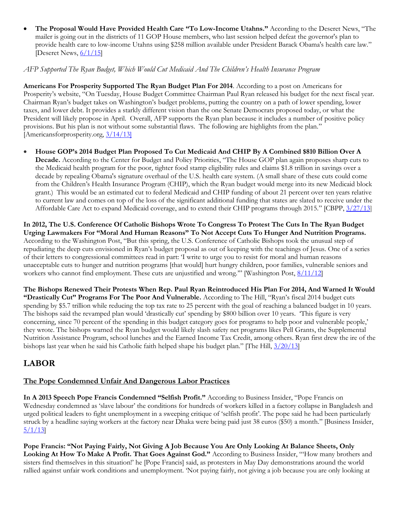**The Proposal Would Have Provided Health Care "To Low-Income Utahns."** According to the Deseret News, "The mailer is going out in the districts of 11 GOP House members, who last session helped defeat the governor's plan to provide health care to low-income Utahns using \$258 million available under President Barack Obama's health care law." [Deseret News,  $6/1/15$ ]

*AFP Supported The Ryan Budget, Which Would Cut Medicaid And The Children's Health Insurance Program*

**Americans For Prosperity Supported The Ryan Budget Plan For 2014**. According to a post on Americans for Prosperity's website, "On Tuesday, House Budget Committee Chairman Paul Ryan released his budget for the next fiscal year. Chairman Ryan's budget takes on Washington's budget problems, putting the country on a path of lower spending, lower taxes, and lower debt. It provides a starkly different vision than the one Senate Democrats proposed today, or what the President will likely propose in April. Overall, AFP supports the Ryan plan because it includes a number of positive policy provisions. But his plan is not without some substantial flaws. The following are highlights from the plan." [Americansforprosperity.org, [3/14/13\]](http://americansforprosperity.org/article/highlights-from-the-ryan-budget-plan)

 **House GOP's 2014 Budget Plan Proposed To Cut Medicaid And CHIP By A Combined \$810 Billion Over A Decade.** According to the Center for Budget and Policy Priorities, "The House GOP plan again proposes sharp cuts to the Medicaid health program for the poor, tighter food stamp eligibility rules and claims \$1.8 trillion in savings over a decade by repealing Obama's signature overhaul of the U.S. health care system. (A small share of these cuts could come from the Children's Health Insurance Program (CHIP), which the Ryan budget would merge into its new Medicaid block grant.) This would be an estimated cut to federal Medicaid and CHIP funding of about 21 percent over ten years relative to current law and comes on top of the loss of the significant additional funding that states are slated to receive under the Affordable Care Act to expand Medicaid coverage, and to extend their CHIP programs through 2015." [CBPP, [3/27/13\]](http://www.cbpp.org/cms/?fa=view&id=3942)

**In 2012, The U.S. Conference Of Catholic Bishops Wrote To Congress To Protest The Cuts In The Ryan Budget Urging Lawmakers For "Moral And Human Reasons" To Not Accept Cuts To Hunger And Nutrition Programs.**  According to the Washington Post, "But this spring, the U.S. Conference of Catholic Bishops took the unusual step of repudiating the deep cuts envisioned in Ryan's budget proposal as out of keeping with the teachings of Jesus. One of a series of their letters to congressional committees read in part: 'I write to urge you to resist for moral and human reasons unacceptable cuts to hunger and nutrition programs [that would] hurt hungry children, poor families, vulnerable seniors and workers who cannot find employment. These cuts are unjustified and wrong." [Washington Post,  $8/11/12$ ]

**The Bishops Renewed Their Protests When Rep. Paul Ryan Reintroduced His Plan For 2014, And Warned It Would "Drastically Cut" Programs For The Poor And Vulnerable.** According to The Hill, "Ryan's fiscal 2014 budget cuts spending by \$5.7 trillion while reducing the top tax rate to 25 percent with the goal of reaching a balanced budget in 10 years. The bishops said the revamped plan would 'drastically cut' spending by \$800 billion over 10 years. 'This figure is very concerning, since 70 percent of the spending in this budget category goes for programs to help poor and vulnerable people,' they wrote. The bishops warned the Ryan budget would likely slash safety net programs likes Pell Grants, the Supplemental Nutrition Assistance Program, school lunches and the Earned Income Tax Credit, among others. Ryan first drew the ire of the bishops last year when he said his Catholic faith helped shape his budget plan." [The Hill, [3/20/13\]](http://thehill.com/blogs/blog-briefing-room/news/289235-catholic-bishops-set-for-new-fight-over-ryan-budget-)

# **LABOR**

## **The Pope Condemned Unfair And Dangerous Labor Practices**

**In A 2013 Speech Pope Francis Condemned "Selfish Profit."** According to Business Insider, "Pope Francis on Wednesday condemned as 'slave labour' the conditions for hundreds of workers killed in a factory collapse in Bangladesh and urged political leaders to fight unemployment in a sweeping critique of 'selfish profit'. The pope said he had been particularly struck by a headline saying workers at the factory near Dhaka were being paid just 38 euros (\$50) a month." [Business Insider, [5/1/13\]](http://www.businessinsider.com/pope-rips-bangladesh-slave-labor-2013-5)

**Pope Francis: "Not Paying Fairly, Not Giving A Job Because You Are Only Looking At Balance Sheets, Only Looking At How To Make A Profit. That Goes Against God."** According to Business Insider, "'How many brothers and sisters find themselves in this situation!' he [Pope Francis] said, as protesters in May Day demonstrations around the world rallied against unfair work conditions and unemployment. 'Not paying fairly, not giving a job because you are only looking at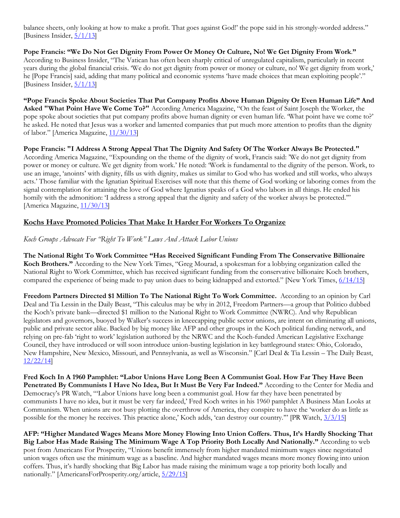balance sheets, only looking at how to make a profit. That goes against God!' the pope said in his strongly-worded address." [Business Insider,  $\frac{5}{1/3}$ ]

**Pope Francis: "We Do Not Get Dignity From Power Or Money Or Culture, No! We Get Dignity From Work**.**"** According to Business Insider, "The Vatican has often been sharply critical of unregulated capitalism, particularly in recent years during the global financial crisis. 'We do not get dignity from power or money or culture, no! We get dignity from work,' he [Pope Francis] said, adding that many political and economic systems 'have made choices that mean exploiting people'." [Business Insider,  $\frac{5}{1/3}$ ]

**"Pope Francis Spoke About Societies That Put Company Profits Above Human Dignity Or Even Human Life" And Asked "What Point Have We Come To?"** According America Magazine, "On the feast of Saint Joseph the Worker, the pope spoke about societies that put company profits above human dignity or even human life. 'What point have we come to?' he asked. He noted that Jesus was a worker and lamented companies that put much more attention to profits than the dignity of labor." [America Magazine, [11/30/13\]](http://americamagazine.org/content/all-things/pope-francis-dignity-labor)

**Pope Francis: "I Address A Strong Appeal That The Dignity And Safety Of The Worker Always Be Protected."** According America Magazine, "Expounding on the theme of the dignity of work, Francis said: 'We do not get dignity from power or money or culture. We get dignity from work.' He noted: 'Work is fundamental to the dignity of the person. Work, to use an image, 'anoints' with dignity, fills us with dignity, makes us similar to God who has worked and still works, who always acts.' Those familiar with the Ignatian Spiritual Exercises will note that this theme of God working or laboring comes from the signal contemplation for attaining the love of God where Ignatius speaks of a God who labors in all things. He ended his homily with the admonition: 'I address a strong appeal that the dignity and safety of the worker always be protected.'" [America Magazine, [11/30/13\]](http://americamagazine.org/content/all-things/pope-francis-dignity-labor)

## **Kochs Have Promoted Policies That Make It Harder For Workers To Organize**

*Koch Groups Advocate For "Right To Work" Laws And Attack Labor Unions*

**The National Right To Work Committee "Has Received Significant Funding From The Conservative Billionaire Koch Brothers."** According to the New York Times, "Greg Mourad, a spokesman for a lobbying organization called the National Right to Work Committee, which has received significant funding from the conservative billionaire Koch brothers, compared the experience of being made to pay union dues to being kidnapped and extorted." [New York Times,  $6/14/15$ ]

**Freedom Partners Directed \$1 Million To The National Right To Work Committee.** According to an opinion by Carl Deal and Tia Lessin in the Daily Beast, "This calculus may be why in 2012, Freedom Partners—a group that Politico dubbed the Koch's private bank—directed \$1 million to the National Right to Work Committee (NWRC). And why Republican legislators and governors, buoyed by Walker's success in kneecapping public sector unions, are intent on eliminating all unions, public and private sector alike. Backed by big money like AFP and other groups in the Koch political funding network, and relying on pre-fab 'right to work' legislation authored by the NRWC and the Koch-funded American Legislative Exchange Council, they have introduced or will soon introduce union-busting legislation in key battleground states: Ohio, Colorado, New Hampshire, New Mexico, Missouri, and Pennsylvania, as well as Wisconsin." [Carl Deal & Tia Lessin – The Daily Beast, [12/22/14\]](http://www.thedailybeast.com/articles/2014/12/22/the-next-phase-of-the-koch-brothers-war-on-unions.html)

**Fred Koch In A 1960 Pamphlet: "Labor Unions Have Long Been A Communist Goal. How Far They Have Been Penetrated By Communists I Have No Idea, But It Must Be Very Far Indeed."** According to the Center for Media and Democracy's PR Watch, "'Labor Unions have long been a communist goal. How far they have been penetrated by communists I have no idea, but it must be very far indeed,' Fred Koch writes in his 1960 pamphlet A Business Man Looks at Communism. When unions are not busy plotting the overthrow of America, they conspire to have the 'worker do as little as possible for the money he receives. This practice alone,' Koch adds, 'can destroy our country.'" [PR Watch, [3/3/15\]](http://www.prwatch.org/news/2015/03/12758/national-right-work-committee-attacking-wisconsin-hypocritical-zeal)

**AFP: "Higher Mandated Wages Means More Money Flowing Into Union Coffers. Thus, It's Hardly Shocking That Big Labor Has Made Raising The Minimum Wage A Top Priority Both Locally And Nationally."** According to web post from Americans For Prosperity, "Unions benefit immensely from higher mandated minimum wages since negotiated union wages often use the minimum wage as a baseline. And higher mandated wages means more money flowing into union coffers. Thus, it's hardly shocking that Big Labor has made raising the minimum wage a top priority both locally and nationally." [AmericansForProsperity.org/article, [5/29/15\]](http://americansforprosperity.org/article/mandates-for-thee-but-not-for-me)